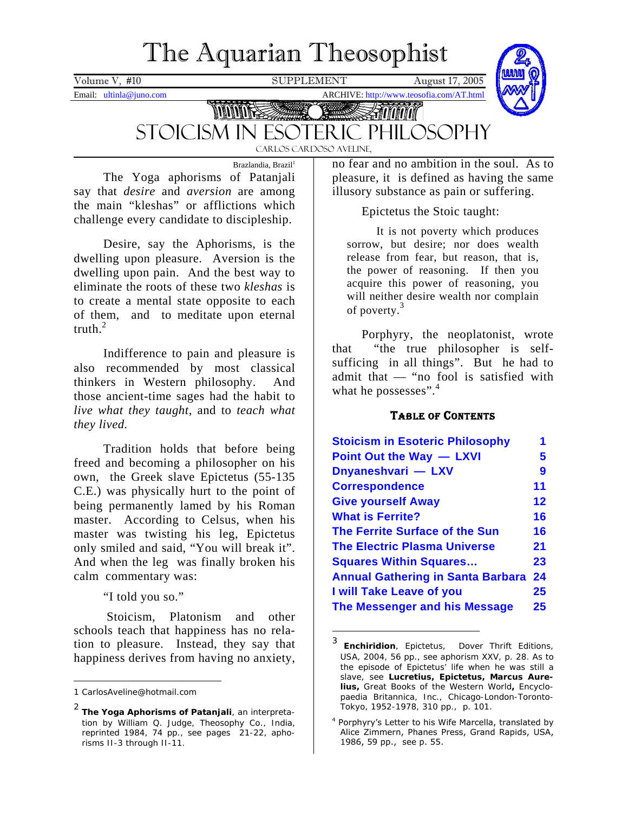# The Aquarian Theosophist

<span id="page-0-4"></span>Volume V, #10 SUPPLEMENT August 17, 2005

Email: ultinla@juno.com ARCHIVE: http://www.teosofia.com/AT.html



MANA Stoicism in Esoteric Philosophy Carlos Cardoso Aveline,

Brazlandia, Brazil<sup>[1](#page-0-0)</sup> The Yoga aphorisms of Patanjali say that *desire* and *aversion* are among the main "kleshas" or afflictions which challenge every candidate to discipleship. Epictetus the Stoic taught:

Desire, say the Aphorisms, is the dwelling upon pleasure. Aversion is the dwelling upon pain. And the best way to eliminate the roots of these two *kleshas* is to create a mental state opposite to each of them, and to meditate upon eternal truth $^2$  $^2$ 

Indifference to pain and pleasure is also recommended by most classical thinkers in Western philosophy. And those ancient-time sages had the habit to *live what they taught*, and to *teach what* **TABLE OF CONTENTS** *they lived.* 

Tradition holds that before being freed and becoming a philosopher on his own, the Greek slave Epictetus (55-135 C.E.) was physically hurt to the point of being permanently lamed by his Roman master. According to Celsus, when his master was twisting his leg, Epictetus only smiled and said, "You will break it". And when the leg was finally broken his calm commentary was:

Stoicism, Platonism and other schools teach that happiness has no relation to pleasure. Instead, they say that happiness derives from having no anxiety,

 $\overline{a}$ 

no fear and no ambition in the soul. As to pleasure, it is defined as having the same illusory substance as pain or suffering.

It is not poverty which produces sorrow, but desire; nor does wealth release from fear, but reason, that is, the power of reasoning. If then you acquire this power of reasoning, you will neither desire wealth nor complain of poverty. [3](#page-0-2)

Porphyry, the neoplatonist, wrote that "the true philosopher is selfsufficing in all things". But he had to admit that — "no fool is satisfied with what he possesses".<sup>[4](#page-0-3)</sup>

| Tradition holds that before being<br>and becoming a philosopher on his | <b>Stoicism in Esoteric Philosophy</b><br>Point Out the Way - LXVI | 1<br>5.         |
|------------------------------------------------------------------------|--------------------------------------------------------------------|-----------------|
| the Greek slave Epictetus (55-135)                                     | Dnyaneshvari - LXV                                                 | 9               |
| was physically hurt to the point of                                    | <b>Correspondence</b>                                              | 11              |
| permanently lamed by his Roman                                         | <b>Give yourself Away</b>                                          | 12 <sup>°</sup> |
| r. According to Celsus, when his                                       | <b>What is Ferrite?</b>                                            | 16 <sup>°</sup> |
| r was twisting his leg, Epictetus                                      | <b>The Ferrite Surface of the Sun</b>                              | 16              |
| smiled and said, "You will break it".                                  | <b>The Electric Plasma Universe</b>                                | 21              |
| when the leg was finally broken his                                    | <b>Squares Within Squares</b>                                      | 23              |
| commentary was:                                                        | <b>Annual Gathering in Santa Barbara 24</b>                        |                 |
| "I told you so."                                                       | I will Take Leave of you                                           | 25              |
|                                                                        | The Messenger and his Message                                      | 25              |

<span id="page-0-2"></span><sup>3</sup> *Enchiridion*, Epictetus, Dover Thrift Editions, USA, 2004, 56 pp., see aphorism XXV, p. 28. As to the episode of Epictetus' life when he was still a slave, see *Lucretius, Epictetus, Marcus Aurelius, Great Books of the Western World,* Encyclopaedia Britannica, Inc., Chicago-London-Toronto-Tokyo, 1952-1978, 310 pp., p. 101.

 $\overline{a}$ 

<span id="page-0-0"></span><sup>1</sup> Carlos[Aveline@hotmail.com](mailto:Aveline@hotmail.com) 

<span id="page-0-1"></span><sup>2</sup> *The Yoga Aphorisms of Patanjali*, an interpretation by William Q. Judge, Theosophy Co., India, reprinted 1984, 74 pp., see pages 21-22, aphorisms II-3 through II-11.

<span id="page-0-3"></span><sup>4</sup> Porphyry's Letter to his Wife Marcella, translated by Alice Zimmern, Phanes Press, Grand Rapids, USA, 1986, 59 pp., see p. 55.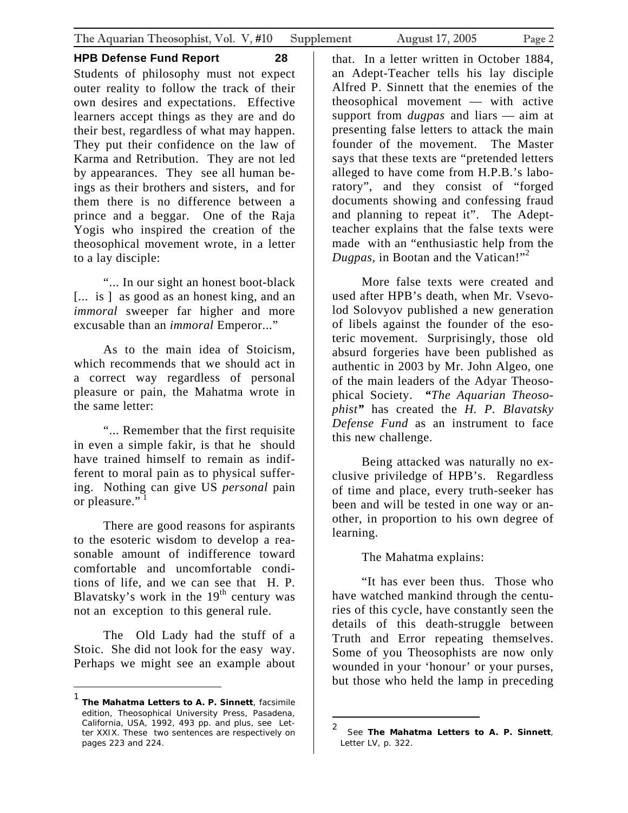**HPB Defense Fund Report 28**  Students of philosophy must not expect outer reality to follow the track of their own desires and expectations. Effective learners accept things as they are and do their best, regardless of what may happen. They put their confidence on the law of Karma and Retribution. They are not led by appearances. They see all human beings as their brothers and sisters, and for them there is no difference between a prince and a beggar. One of the Raja Yogis who inspired the creation of the theosophical movement wrote, in a letter to a lay disciple:

"... In our sight an honest boot-black [... is ] as good as an honest king, and an *immoral* sweeper far higher and more excusable than an *immoral* Emperor..."

As to the main idea of Stoicism, which recommends that we should act in a correct way regardless of personal pleasure or pain, the Mahatma wrote in the same letter:

"... Remember that the first requisite in even a simple fakir, is that he should have trained himself to remain as indifferent to moral pain as to physical suffering. Nothing can give US *personal* pain or pleasure." $1$ 

There are good reasons for aspirants to the esoteric wisdom to develop a reasonable amount of indifference toward comfortable and uncomfortable conditions of life, and we can see that H. P. Blavatsky's work in the  $19<sup>th</sup>$  century was not an exception to this general rule.

The Old Lady had the stuff of a Stoic. She did not look for the easy way. Perhaps we might see an example about

 $\overline{a}$ 

that. In a letter written in October 1884, an Adept-Teacher tells his lay disciple Alfred P. Sinnett that the enemies of the theosophical movement — with active support from *dugpas* and liars — aim at presenting false letters to attack the main founder of the movement. The Master says that these texts are "pretended letters alleged to have come from H.P.B.'s laboratory", and they consist of "forged documents showing and confessing fraud and planning to repeat it". The Adeptteacher explains that the false texts were made with an "enthusiastic help from the *Dugpas*, in Bootan and the Vatican!"<sup>[2](#page-1-1)</sup>

More false texts were created and used after HPB's death, when Mr. Vsevolod Solovyov published a new generation of libels against the founder of the esoteric movement. Surprisingly, those old absurd forgeries have been published as authentic in 2003 by Mr. John Algeo, one of the main leaders of the Adyar Theosophical Society. *"The Aquarian Theosophist"* has created the *H. P. Blavatsky Defense Fund* as an instrument to face this new challenge.

Being attacked was naturally no exclusive priviledge of HPB's. Regardless of time and place, every truth-seeker has been and will be tested in one way or another, in proportion to his own degree of learning.

The Mahatma explains:

"It has ever been thus. Those who have watched mankind through the centuries of this cycle, have constantly seen the details of this death-struggle between Truth and Error repeating themselves. Some of you Theosophists are now only wounded in your 'honour' or your purses, but those who held the lamp in preceding

1

<span id="page-1-0"></span><sup>1</sup> *The Mahatma Letters to A. P. Sinnett*, facsimile edition, Theosophical University Press, Pasadena, California, USA, 1992, 493 pp. and plus, see Letter XXIX. These two sentences are respectively on pages 223 and 224.

<span id="page-1-1"></span><sup>2</sup> See *The Mahatma Letters to A. P. Sinnett*, Letter LV, p. 322.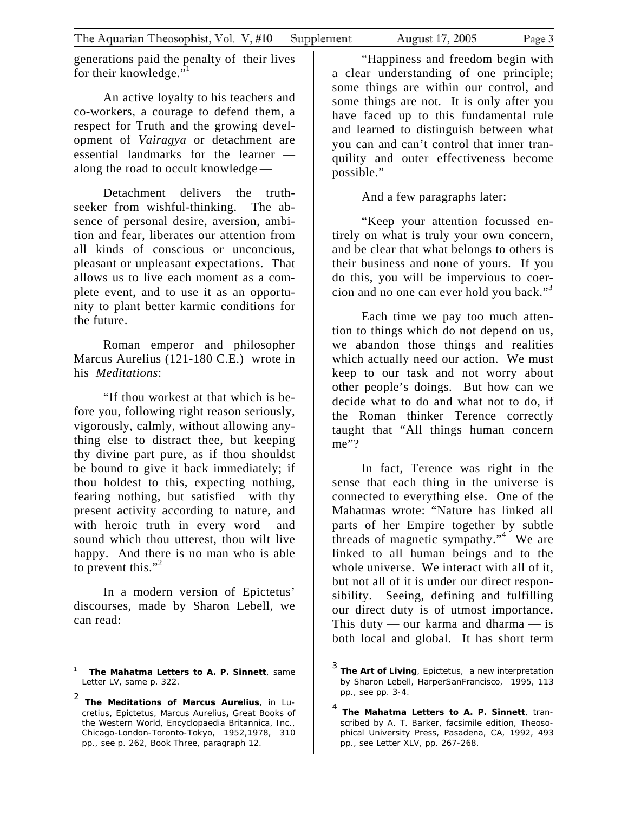generations paid the penalty of their lives for their knowledge."<sup>[1](#page-2-0)</sup>

An active loyalty to his teachers and co-workers, a courage to defend them, a respect for Truth and the growing development of *Vairagya* or detachment are essential landmarks for the learner along the road to occult knowledge —

Detachment delivers the truthseeker from wishful-thinking. The absence of personal desire, aversion, ambition and fear, liberates our attention from all kinds of conscious or unconcious, pleasant or unpleasant expectations. That allows us to live each moment as a complete event, and to use it as an opportunity to plant better karmic conditions for the future.

Roman emperor and philosopher Marcus Aurelius (121-180 C.E.) wrote in his *Meditations*:

"If thou workest at that which is before you, following right reason seriously, vigorously, calmly, without allowing anything else to distract thee, but keeping thy divine part pure, as if thou shouldst be bound to give it back immediately; if thou holdest to this, expecting nothing, fearing nothing, but satisfied with thy present activity according to nature, and with heroic truth in every word and sound which thou utterest, thou wilt live happy. And there is no man who is able to prevent this."<sup>[2](#page-2-1)</sup>

In a modern version of Epictetus' discourses, made by Sharon Lebell, we can read:

 $\overline{a}$ 

"Happiness and freedom begin with a clear understanding of one principle; some things are within our control, and some things are not. It is only after you have faced up to this fundamental rule and learned to distinguish between what you can and can't control that inner tranquility and outer effectiveness become possible."

And a few paragraphs later:

"Keep your attention focussed entirely on what is truly your own concern, and be clear that what belongs to others is their business and none of yours. If you do this, you will be impervious to coercion and no one can ever hold you back."[3](#page-2-2)

Each time we pay too much attention to things which do not depend on us, we abandon those things and realities which actually need our action. We must keep to our task and not worry about other people's doings. But how can we decide what to do and what not to do, if the Roman thinker Terence correctly taught that "All things human concern me"?

In fact, Terence was right in the sense that each thing in the universe is connected to everything else. One of the Mahatmas wrote: "Nature has linked all parts of her Empire together by subtle threads of magnetic sympathy."<sup>[4](#page-2-3)</sup> We are linked to all human beings and to the whole universe. We interact with all of it, but not all of it is under our direct responsibility. Seeing, defining and fulfilling our direct duty is of utmost importance. This duty — our karma and dharma — is both local and global. It has short term

<span id="page-2-0"></span><sup>1</sup> *The Mahatma Letters to A. P. Sinnett*, same Letter LV, same p. 322.

<span id="page-2-1"></span><sup>2</sup> *The Meditations of Marcus Aurelius*, in *Lucretius, Epictetus, Marcus Aurelius, Great Books of the Western World,* Encyclopaedia Britannica, Inc., Chicago-London-Toronto-Tokyo, 1952,1978, 310 pp., see p. 262, Book Three, paragraph 12.

<span id="page-2-2"></span><sup>3</sup> *The Art of Living*, Epictetus, *a new interpretation by Sharon Lebell,* HarperSanFrancisco, 1995, 113 pp., see pp. 3-4.

<span id="page-2-3"></span><sup>4</sup> *The Mahatma Letters to A. P. Sinnett*, transcribed by A. T. Barker, facsimile edition, Theosophical University Press, Pasadena, CA, 1992, 493 pp., see Letter XLV, pp. 267-268.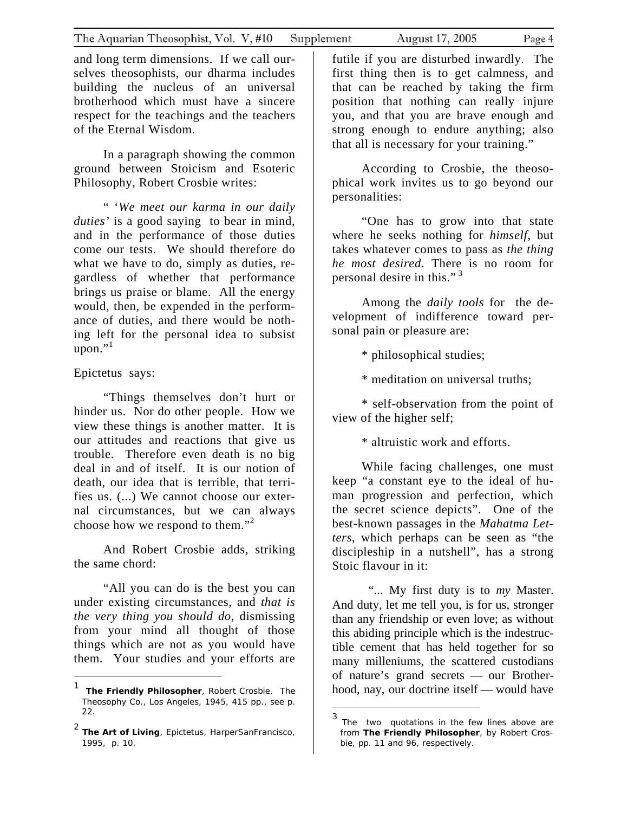and long term dimensions. If we call ourselves theosophists, our dharma includes building the nucleus of an universal brotherhood which must have a sincere respect for the teachings and the teachers of the Eternal Wisdom.

In a paragraph showing the common ground between Stoicism and Esoteric Philosophy, Robert Crosbie writes:

" '*We meet our karma in our daily duties'* is a good saying to bear in mind, and in the performance of those duties come our tests. We should therefore do what we have to do, simply as duties, regardless of whether that performance brings us praise or blame. All the energy would, then, be expended in the performance of duties, and there would be nothing left for the personal idea to subsist  $u$ pon." $1$ 

Epictetus says:

 $\overline{a}$ 

"Things themselves don't hurt or hinder us. Nor do other people. How we view these things is another matter. It is our attitudes and reactions that give us trouble. Therefore even death is no big deal in and of itself. It is our notion of death, our idea that is terrible, that terrifies us. (...) We cannot choose our external circumstances, but we can always choose how we respond to them."[2](#page-3-1)

And Robert Crosbie adds, striking the same chord:

"All you can do is the best you can under existing circumstances, and *that is the very thing you should do*, dismissing from your mind all thought of those things which are not as you would have them. Your studies and your efforts are futile if you are disturbed inwardly. The first thing then is to get calmness, and that can be reached by taking the firm position that nothing can really injure you, and that you are brave enough and strong enough to endure anything; also that all is necessary for your training."

According to Crosbie, the theosophical work invites us to go beyond our personalities:

"One has to grow into that state where he seeks nothing for *himself*, but takes whatever comes to pass as *the thing he most desired*. There is no room for personal desire in this."<sup>[3](#page-3-2)</sup>

Among the *daily tools* for the development of indifference toward personal pain or pleasure are:

\* philosophical studies;

\* meditation on universal truths;

\* self-observation from the point of view of the higher self;

\* altruistic work and efforts.

While facing challenges, one must keep "a constant eye to the ideal of human progression and perfection, which the secret science depicts". One of the best-known passages in the *Mahatma Letters*, which perhaps can be seen as "the discipleship in a nutshell", has a strong Stoic flavour in it:

"... My first duty is to *my* Master. And duty, let me tell you, is for us, stronger than any friendship or even love; as without this abiding principle which is the indestructible cement that has held together for so many milleniums, the scattered custodians of nature's grand secrets — our Brotherhood, nay, our doctrine itself — would have

 $\overline{a}$ 

<span id="page-3-0"></span><sup>1</sup> *The Friendly Philosopher*, Robert Crosbie, The Theosophy Co., Los Angeles, 1945, 415 pp., see p. 22.

<span id="page-3-1"></span><sup>2</sup> *The Art of Living*, Epictetus, HarperSanFrancisco, 1995, p. 10.

<span id="page-3-2"></span><sup>3</sup> The two quotations in the few lines above are from *The Friendly Philosopher*, by Robert Crosbie, pp. 11 and 96, respectively.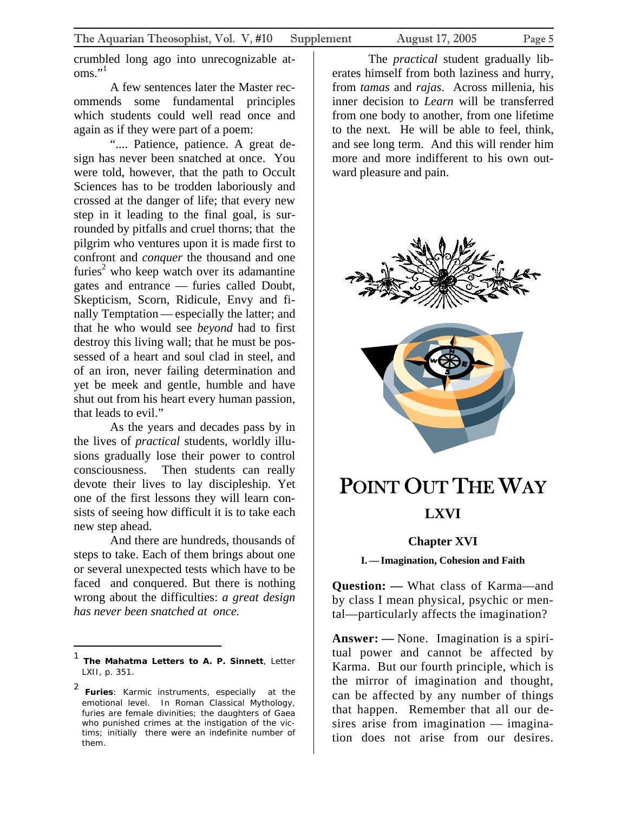<span id="page-4-0"></span>crumbled long ago into unrecognizable at- $\mathrm{oms.}^{\cdot\!\!,1}$  $\mathrm{oms.}^{\cdot\!\!,1}$  $\mathrm{oms.}^{\cdot\!\!,1}$ 

A few sentences later the Master recommends some fundamental principles which students could well read once and again as if they were part of a poem:

".... Patience, patience. A great design has never been snatched at once. You were told, however, that the path to Occult Sciences has to be trodden laboriously and crossed at the danger of life; that every new step in it leading to the final goal, is surrounded by pitfalls and cruel thorns; that the pilgrim who ventures upon it is made first to confront and *conquer* the thousand and one furies<sup>2</sup> who keep watch over its adamantine gates and entrance — furies called Doubt, Skepticism, Scorn, Ridicule, Envy and finally Temptation — especially the latter; and that he who would see *beyond* had to first destroy this living wall; that he must be possessed of a heart and soul clad in steel, and of an iron, never failing determination and yet be meek and gentle, humble and have shut out from his heart every human passion, that leads to evil."

As the years and decades pass by in the lives of *practical* students, worldly illusions gradually lose their power to control consciousness. Then students can really devote their lives to lay discipleship. Yet one of the first lessons they will learn consists of seeing how difficult it is to take each new step ahead.

And there are hundreds, thousands of steps to take. Each of them brings about one or several unexpected tests which have to be faced and conquered. But there is nothing wrong about the difficulties: *a great design has never been snatched at once.* 

<u>.</u>

The *practical* student gradually liberates himself from both laziness and hurry, from *tamas* and *rajas*. Across millenia, his inner decision to *Learn* will be transferred from one body to another, from one lifetime to the next. He will be able to feel, think, and see long term. And this will render him more and more indifferent to his own outward pleasure and pain.



## POINT OUT THE WAY **LXVI**

### **Chapter XVI**

**I.—Imagination, Cohesion and Faith** 

**Question: —** What class of Karma—and by class I mean physical, psychic or mental—particularly affects the imagination?

**Answer: —** None. Imagination is a spiritual power and cannot be affected by Karma. But our fourth principle, which is the mirror of imagination and thought, can be affected by any number of things that happen. Remember that all our desires arise from imagination — imagination does not arise from our desires.

<span id="page-4-1"></span><sup>1</sup> *The Mahatma Letters to A. P. Sinnett*, Letter LXII, p. 351.

<span id="page-4-2"></span><sup>2</sup> *Furies*: Karmic instruments, especially at the emotional level. In Roman Classical Mythology, *furies* are female divinities; the daughters of Gaea who punished crimes at the instigation of the victims; initially there were an indefinite number of them.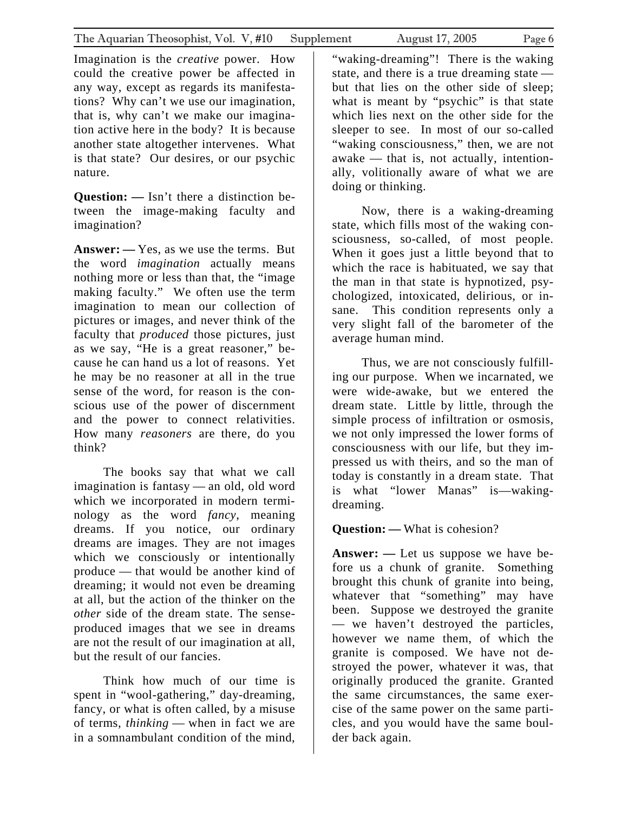Imagination is the *creative* power. How could the creative power be affected in any way, except as regards its manifestations? Why can't we use our imagination, that is, why can't we make our imagination active here in the body? It is because another state altogether intervenes. What is that state? Our desires, or our psychic nature.

**Question: —** Isn't there a distinction between the image-making faculty and imagination?

**Answer: —** Yes, as we use the terms. But the word *imagination* actually means nothing more or less than that, the "image making faculty." We often use the term imagination to mean our collection of pictures or images, and never think of the faculty that *produced* those pictures, just as we say, "He is a great reasoner," because he can hand us a lot of reasons. Yet he may be no reasoner at all in the true sense of the word, for reason is the conscious use of the power of discernment and the power to connect relativities. How many *reasoners* are there, do you think?

The books say that what we call imagination is fantasy — an old, old word which we incorporated in modern terminology as the word *fancy*, meaning dreams. If you notice, our ordinary dreams are images. They are not images which we consciously or intentionally produce — that would be another kind of dreaming; it would not even be dreaming at all, but the action of the thinker on the *other* side of the dream state. The senseproduced images that we see in dreams are not the result of our imagination at all, but the result of our fancies.

Think how much of our time is spent in "wool-gathering," day-dreaming, fancy, or what is often called, by a misuse of terms, *thinking* — when in fact we are in a somnambulant condition of the mind,

"waking-dreaming"! There is the waking state, and there is a true dreaming state but that lies on the other side of sleep; what is meant by "psychic" is that state which lies next on the other side for the sleeper to see. In most of our so-called "waking consciousness," then, we are not awake — that is, not actually, intentionally, volitionally aware of what we are doing or thinking.

Now, there is a waking-dreaming state, which fills most of the waking consciousness, so-called, of most people. When it goes just a little beyond that to which the race is habituated, we say that the man in that state is hypnotized, psychologized, intoxicated, delirious, or insane. This condition represents only a very slight fall of the barometer of the average human mind.

Thus, we are not consciously fulfilling our purpose. When we incarnated, we were wide-awake, but we entered the dream state. Little by little, through the simple process of infiltration or osmosis, we not only impressed the lower forms of consciousness with our life, but they impressed us with theirs, and so the man of today is constantly in a dream state. That is what "lower Manas" is—wakingdreaming.

**Question: —** What is cohesion?

**Answer: —** Let us suppose we have before us a chunk of granite. Something brought this chunk of granite into being, whatever that "something" may have been. Suppose we destroyed the granite — we haven't destroyed the particles, however we name them, of which the granite is composed. We have not destroyed the power, whatever it was, that originally produced the granite. Granted the same circumstances, the same exercise of the same power on the same particles, and you would have the same boulder back again.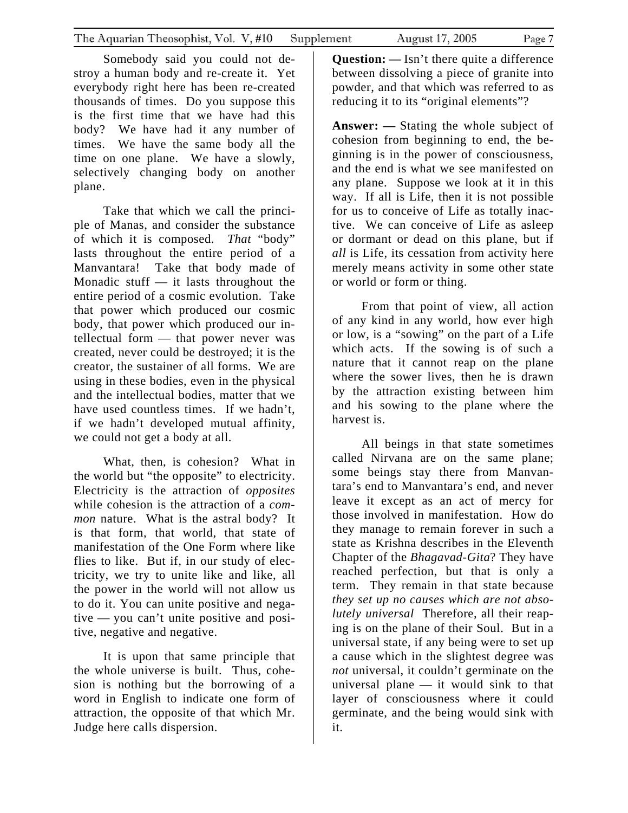Somebody said you could not destroy a human body and re-create it. Yet everybody right here has been re-created thousands of times. Do you suppose this is the first time that we have had this body? We have had it any number of times. We have the same body all the time on one plane. We have a slowly, selectively changing body on another plane.

Take that which we call the principle of Manas, and consider the substance of which it is composed. *That* "body" lasts throughout the entire period of a Manvantara! Take that body made of Monadic stuff  $-$  it lasts throughout the entire period of a cosmic evolution. Take that power which produced our cosmic body, that power which produced our intellectual form — that power never was created, never could be destroyed; it is the creator, the sustainer of all forms. We are using in these bodies, even in the physical and the intellectual bodies, matter that we have used countless times. If we hadn't, if we hadn't developed mutual affinity, we could not get a body at all.

What, then, is cohesion? What in the world but "the opposite" to electricity. Electricity is the attraction of *opposites*  while cohesion is the attraction of a *common* nature. What is the astral body? It is that form, that world, that state of manifestation of the One Form where like flies to like. But if, in our study of electricity, we try to unite like and like, all the power in the world will not allow us to do it. You can unite positive and negative — you can't unite positive and positive, negative and negative.

It is upon that same principle that the whole universe is built. Thus, cohesion is nothing but the borrowing of a word in English to indicate one form of attraction, the opposite of that which Mr. Judge here calls dispersion.

**Question: —** Isn't there quite a difference between dissolving a piece of granite into powder, and that which was referred to as reducing it to its "original elements"?

**Answer: —** Stating the whole subject of cohesion from beginning to end, the beginning is in the power of consciousness, and the end is what we see manifested on any plane. Suppose we look at it in this way. If all is Life, then it is not possible for us to conceive of Life as totally inactive. We can conceive of Life as asleep or dormant or dead on this plane, but if *all* is Life, its cessation from activity here merely means activity in some other state or world or form or thing.

From that point of view, all action of any kind in any world, how ever high or low, is a "sowing" on the part of a Life which acts. If the sowing is of such a nature that it cannot reap on the plane where the sower lives, then he is drawn by the attraction existing between him and his sowing to the plane where the harvest is.

All beings in that state sometimes called Nirvana are on the same plane; some beings stay there from Manvantara's end to Manvantara's end, and never leave it except as an act of mercy for those involved in manifestation. How do they manage to remain forever in such a state as Krishna describes in the Eleventh Chapter of the *Bhagavad-Gita*? They have reached perfection, but that is only a term. They remain in that state because *they set up no causes which are not absolutely universal* Therefore, all their reaping is on the plane of their Soul. But in a universal state, if any being were to set up a cause which in the slightest degree was *not* universal, it couldn't germinate on the universal plane — it would sink to that layer of consciousness where it could germinate, and the being would sink with it.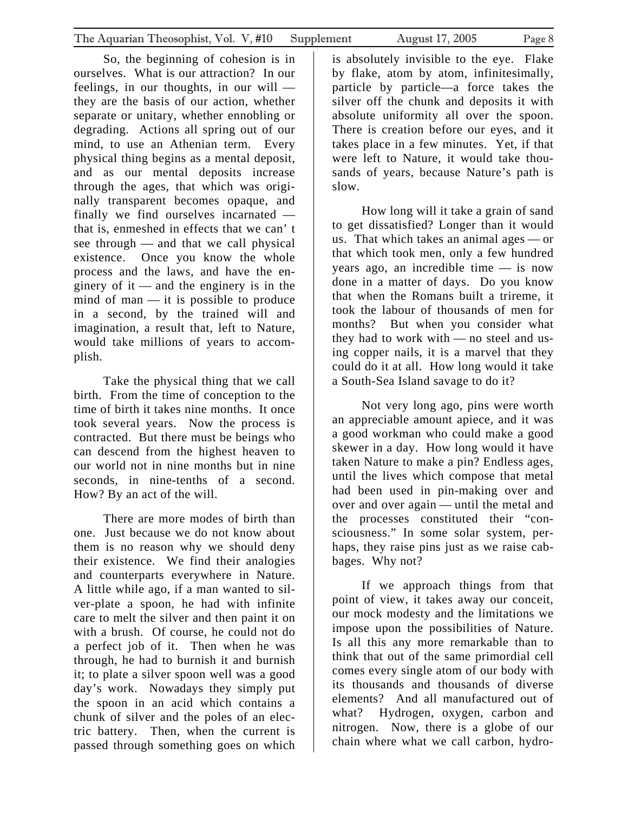So, the beginning of cohesion is in ourselves. What is our attraction? In our feelings, in our thoughts, in our will they are the basis of our action, whether separate or unitary, whether ennobling or degrading. Actions all spring out of our mind, to use an Athenian term. Every physical thing begins as a mental deposit, and as our mental deposits increase through the ages, that which was originally transparent becomes opaque, and finally we find ourselves incarnated that is, enmeshed in effects that we can' t see through — and that we call physical existence. Once you know the whole process and the laws, and have the enginery of it — and the enginery is in the mind of man — it is possible to produce in a second, by the trained will and imagination, a result that, left to Nature, would take millions of years to accomplish.

Take the physical thing that we call birth. From the time of conception to the time of birth it takes nine months. It once took several years. Now the process is contracted. But there must be beings who can descend from the highest heaven to our world not in nine months but in nine seconds, in nine-tenths of a second. How? By an act of the will.

There are more modes of birth than one. Just because we do not know about them is no reason why we should deny their existence. We find their analogies and counterparts everywhere in Nature. A little while ago, if a man wanted to silver-plate a spoon, he had with infinite care to melt the silver and then paint it on with a brush. Of course, he could not do a perfect job of it. Then when he was through, he had to burnish it and burnish it; to plate a silver spoon well was a good day's work. Nowadays they simply put the spoon in an acid which contains a chunk of silver and the poles of an electric battery. Then, when the current is passed through something goes on which

is absolutely invisible to the eye. Flake by flake, atom by atom, infinitesimally, particle by particle—a force takes the silver off the chunk and deposits it with absolute uniformity all over the spoon. There is creation before our eyes, and it takes place in a few minutes. Yet, if that were left to Nature, it would take thousands of years, because Nature's path is slow.

How long will it take a grain of sand to get dissatisfied? Longer than it would us. That which takes an animal ages — or that which took men, only a few hundred years ago, an incredible time — is now done in a matter of days. Do you know that when the Romans built a trireme, it took the labour of thousands of men for months? But when you consider what they had to work with — no steel and using copper nails, it is a marvel that they could do it at all. How long would it take a South-Sea Island savage to do it?

Not very long ago, pins were worth an appreciable amount apiece, and it was a good workman who could make a good skewer in a day. How long would it have taken Nature to make a pin? Endless ages, until the lives which compose that metal had been used in pin-making over and over and over again — until the metal and the processes constituted their "consciousness." In some solar system, perhaps, they raise pins just as we raise cabbages. Why not?

If we approach things from that point of view, it takes away our conceit, our mock modesty and the limitations we impose upon the possibilities of Nature. Is all this any more remarkable than to think that out of the same primordial cell comes every single atom of our body with its thousands and thousands of diverse elements? And all manufactured out of what? Hydrogen, oxygen, carbon and nitrogen. Now, there is a globe of our chain where what we call carbon, hydro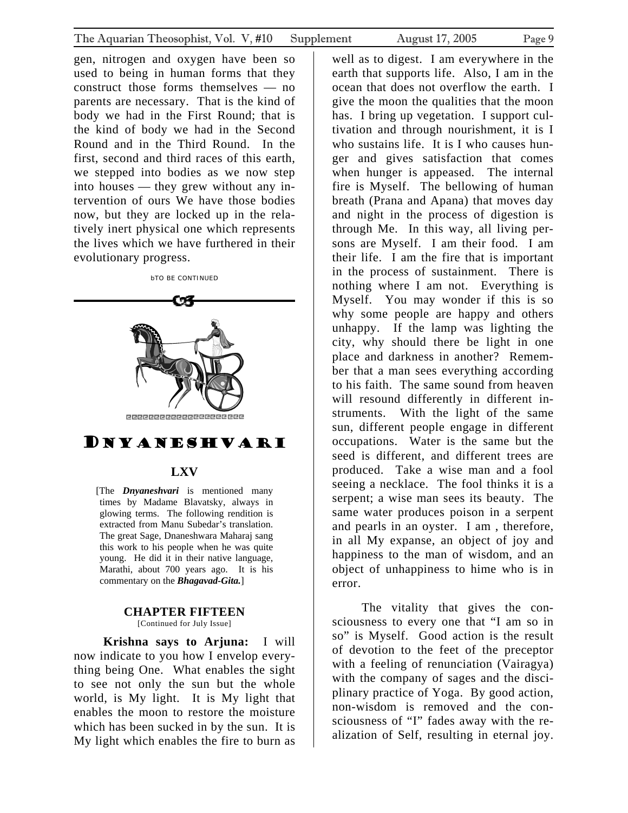<span id="page-8-0"></span>gen, nitrogen and oxygen have been so used to being in human forms that they construct those forms themselves — no parents are necessary. That is the kind of body we had in the First Round; that is the kind of body we had in the Second Round and in the Third Round. In the first, second and third races of this earth, we stepped into bodies as we now step into houses — they grew without any intervention of ours We have those bodies now, but they are locked up in the relatively inert physical one which represents the lives which we have furthered in their evolutionary progress.



times by Madame Blavatsky, always in glowing terms. The following rendition is extracted from Manu Subedar's translation. The great Sage, Dnaneshwara Maharaj sang this work to his people when he was quite young. He did it in their native language, Marathi, about 700 years ago. It is his commentary on the *Bhagavad-Gita.*]

#### **CHAPTER FIFTEEN**  [Continued for July Issue]

**Krishna says to Arjuna:** I will now indicate to you how I envelop everything being One. What enables the sight to see not only the sun but the whole world, is My light. It is My light that enables the moon to restore the moisture which has been sucked in by the sun. It is My light which enables the fire to burn as

well as to digest. I am everywhere in the earth that supports life. Also, I am in the ocean that does not overflow the earth. I give the moon the qualities that the moon has. I bring up vegetation. I support cultivation and through nourishment, it is I who sustains life. It is I who causes hunger and gives satisfaction that comes when hunger is appeased. The internal fire is Myself. The bellowing of human breath (Prana and Apana) that moves day and night in the process of digestion is through Me. In this way, all living persons are Myself. I am their food. I am their life. I am the fire that is important in the process of sustainment. There is nothing where I am not. Everything is Myself. You may wonder if this is so why some people are happy and others unhappy. If the lamp was lighting the city, why should there be light in one place and darkness in another? Remember that a man sees everything according to his faith. The same sound from heaven will resound differently in different instruments. With the light of the same sun, different people engage in different occupations. Water is the same but the seed is different, and different trees are produced. Take a wise man and a fool seeing a necklace. The fool thinks it is a serpent; a wise man sees its beauty. The same water produces poison in a serpent and pearls in an oyster. I am , therefore, in all My expanse, an object of joy and happiness to the man of wisdom, and an object of unhappiness to hime who is in error.

The vitality that gives the consciousness to every one that "I am so in so" is Myself. Good action is the result of devotion to the feet of the preceptor with a feeling of renunciation (Vairagya) with the company of sages and the disciplinary practice of Yoga. By good action, non-wisdom is removed and the consciousness of "I" fades away with the realization of Self, resulting in eternal joy.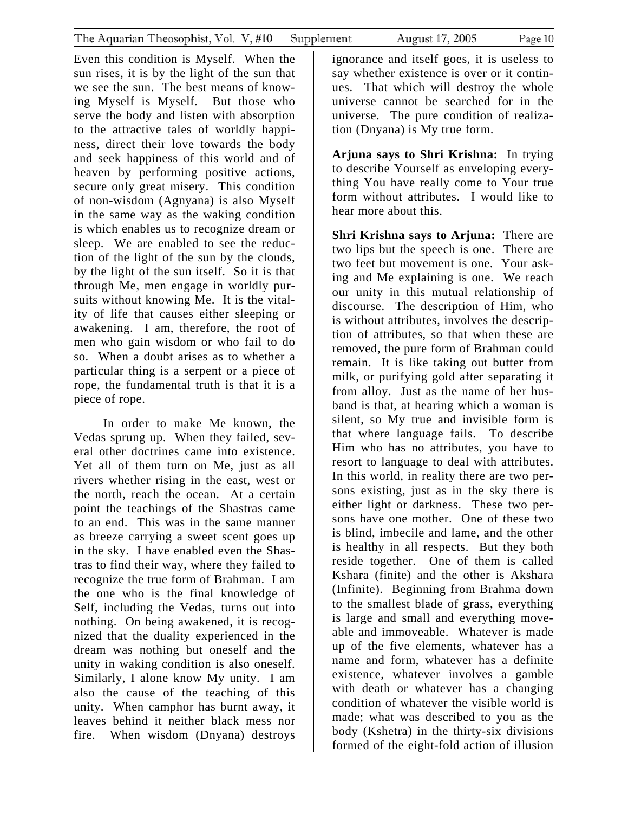Even this condition is Myself. When the sun rises, it is by the light of the sun that we see the sun. The best means of knowing Myself is Myself. But those who serve the body and listen with absorption to the attractive tales of worldly happiness, direct their love towards the body and seek happiness of this world and of heaven by performing positive actions, secure only great misery. This condition of non-wisdom (Agnyana) is also Myself in the same way as the waking condition is which enables us to recognize dream or sleep. We are enabled to see the reduction of the light of the sun by the clouds, by the light of the sun itself. So it is that through Me, men engage in worldly pursuits without knowing Me. It is the vitality of life that causes either sleeping or awakening. I am, therefore, the root of men who gain wisdom or who fail to do so. When a doubt arises as to whether a particular thing is a serpent or a piece of rope, the fundamental truth is that it is a piece of rope.

In order to make Me known, the Vedas sprung up. When they failed, several other doctrines came into existence. Yet all of them turn on Me, just as all rivers whether rising in the east, west or the north, reach the ocean. At a certain point the teachings of the Shastras came to an end. This was in the same manner as breeze carrying a sweet scent goes up in the sky. I have enabled even the Shastras to find their way, where they failed to recognize the true form of Brahman. I am the one who is the final knowledge of Self, including the Vedas, turns out into nothing. On being awakened, it is recognized that the duality experienced in the dream was nothing but oneself and the unity in waking condition is also oneself. Similarly, I alone know My unity. I am also the cause of the teaching of this unity. When camphor has burnt away, it leaves behind it neither black mess nor fire. When wisdom (Dnyana) destroys

**Arjuna says to Shri Krishna:** In trying to describe Yourself as enveloping everything You have really come to Your true form without attributes. I would like to hear more about this.

**Shri Krishna says to Arjuna:** There are two lips but the speech is one. There are two feet but movement is one. Your asking and Me explaining is one. We reach our unity in this mutual relationship of discourse. The description of Him, who is without attributes, involves the description of attributes, so that when these are removed, the pure form of Brahman could remain. It is like taking out butter from milk, or purifying gold after separating it from alloy. Just as the name of her husband is that, at hearing which a woman is silent, so My true and invisible form is that where language fails. To describe Him who has no attributes, you have to resort to language to deal with attributes. In this world, in reality there are two persons existing, just as in the sky there is either light or darkness. These two persons have one mother. One of these two is blind, imbecile and lame, and the other is healthy in all respects. But they both reside together. One of them is called Kshara (finite) and the other is Akshara (Infinite). Beginning from Brahma down to the smallest blade of grass, everything is large and small and everything moveable and immoveable. Whatever is made up of the five elements, whatever has a name and form, whatever has a definite existence, whatever involves a gamble with death or whatever has a changing condition of whatever the visible world is made; what was described to you as the body (Kshetra) in the thirty-six divisions formed of the eight-fold action of illusion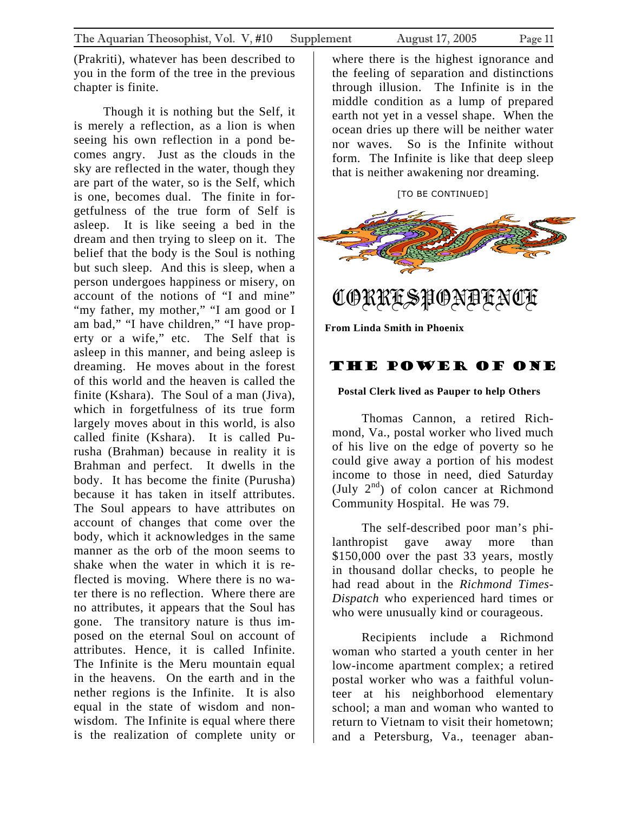<span id="page-10-0"></span>(Prakriti), whatever has been described to you in the form of the tree in the previous chapter is finite.

Though it is nothing but the Self, it is merely a reflection, as a lion is when seeing his own reflection in a pond becomes angry. Just as the clouds in the sky are reflected in the water, though they are part of the water, so is the Self, which is one, becomes dual. The finite in forgetfulness of the true form of Self is asleep. It is like seeing a bed in the dream and then trying to sleep on it. The belief that the body is the Soul is nothing but such sleep. And this is sleep, when a person undergoes happiness or misery, on account of the notions of "I and mine" "my father, my mother," "I am good or I am bad," "I have children," "I have property or a wife," etc. The Self that is asleep in this manner, and being asleep is dreaming. He moves about in the forest of this world and the heaven is called the finite (Kshara). The Soul of a man (Jiva), which in forgetfulness of its true form largely moves about in this world, is also called finite (Kshara). It is called Purusha (Brahman) because in reality it is Brahman and perfect. It dwells in the body. It has become the finite (Purusha) because it has taken in itself attributes. The Soul appears to have attributes on account of changes that come over the body, which it acknowledges in the same manner as the orb of the moon seems to shake when the water in which it is reflected is moving. Where there is no water there is no reflection. Where there are no attributes, it appears that the Soul has gone. The transitory nature is thus imposed on the eternal Soul on account of attributes. Hence, it is called Infinite. The Infinite is the Meru mountain equal in the heavens. On the earth and in the nether regions is the Infinite. It is also equal in the state of wisdom and nonwisdom. The Infinite is equal where there is the realization of complete unity or

where there is the highest ignorance and the feeling of separation and distinctions through illusion. The Infinite is in the middle condition as a lump of prepared earth not yet in a vessel shape. When the ocean dries up there will be neither water nor waves. So is the Infinite without form. The Infinite is like that deep sleep that is neither awakening nor dreaming.

[TO BE CONTINUED]



CORRESPONDENCE

**From Linda Smith in Phoenix** 

### The Power of ONE

### **Postal Clerk lived as Pauper to help Others**

Thomas Cannon, a retired Richmond, Va., postal worker who lived much of his live on the edge of poverty so he could give away a portion of his modest income to those in need, died Saturday (July  $2<sup>nd</sup>$ ) of colon cancer at Richmond Community Hospital. He was 79.

The self-described poor man's philanthropist gave away more than \$150,000 over the past 33 years, mostly in thousand dollar checks, to people he had read about in the *Richmond Times-Dispatch* who experienced hard times or who were unusually kind or courageous.

Recipients include a Richmond woman who started a youth center in her low-income apartment complex; a retired postal worker who was a faithful volunteer at his neighborhood elementary school; a man and woman who wanted to return to Vietnam to visit their hometown; and a Petersburg, Va., teenager aban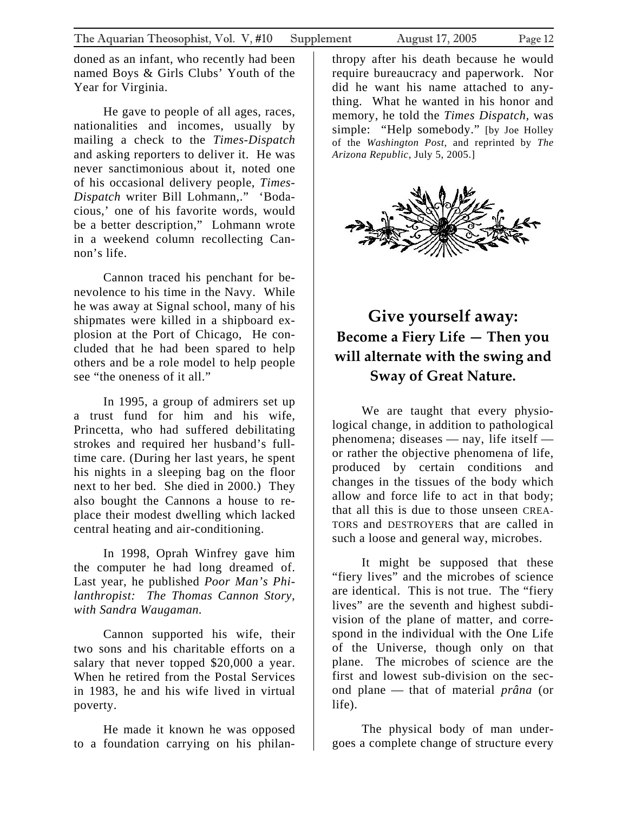<span id="page-11-0"></span>doned as an infant, who recently had been named Boys & Girls Clubs' Youth of the Year for Virginia.

He gave to people of all ages, races, nationalities and incomes, usually by mailing a check to the *Times-Dispatch* and asking reporters to deliver it. He was never sanctimonious about it, noted one of his occasional delivery people, *Times-Dispatch* writer Bill Lohmann,." 'Bodacious,' one of his favorite words, would be a better description," Lohmann wrote in a weekend column recollecting Cannon's life.

Cannon traced his penchant for benevolence to his time in the Navy. While he was away at Signal school, many of his shipmates were killed in a shipboard explosion at the Port of Chicago, He concluded that he had been spared to help others and be a role model to help people see "the oneness of it all."

In 1995, a group of admirers set up a trust fund for him and his wife, Princetta, who had suffered debilitating strokes and required her husband's fulltime care. (During her last years, he spent his nights in a sleeping bag on the floor next to her bed. She died in 2000.) They also bought the Cannons a house to replace their modest dwelling which lacked central heating and air-conditioning.

In 1998, Oprah Winfrey gave him the computer he had long dreamed of. Last year, he published *Poor Man's Philanthropist: The Thomas Cannon Story, with Sandra Waugaman.* 

Cannon supported his wife, their two sons and his charitable efforts on a salary that never topped \$20,000 a year. When he retired from the Postal Services in 1983, he and his wife lived in virtual poverty.

He made it known he was opposed to a foundation carrying on his philan-

thropy after his death because he would require bureaucracy and paperwork. Nor did he want his name attached to anything. What he wanted in his honor and memory, he told the *Times Dispatch,* was simple: "Help somebody." [by Joe Holley of the *Washington Post,* and reprinted by *The Arizona Republic*, July 5, 2005.]



### **Give yourself away: Become a Fiery Life — Then you will alternate with the swing and Sway of Great Nature.**

We are taught that every physiological change, in addition to pathological phenomena; diseases — nay, life itself or rather the objective phenomena of life, produced by certain conditions and changes in the tissues of the body which allow and force life to act in that body; that all this is due to those unseen CREA-TORS and DESTROYERS that are called in such a loose and general way, microbes.

It might be supposed that these "fiery lives" and the microbes of science are identical. This is not true. The "fiery lives" are the seventh and highest subdivision of the plane of matter, and correspond in the individual with the One Life of the Universe, though only on that plane. The microbes of science are the first and lowest sub-division on the second plane — that of material *prâna* (or life).

The physical body of man undergoes a complete change of structure every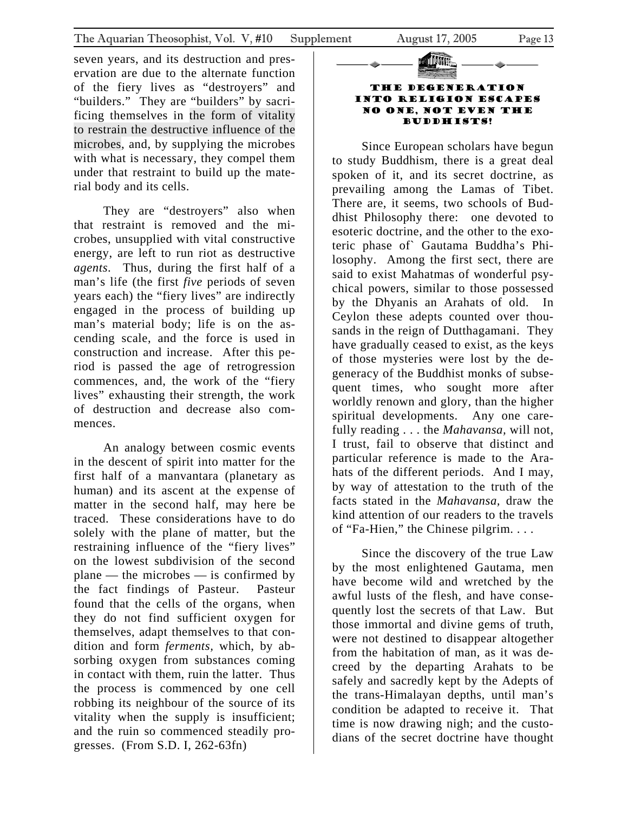seven years, and its destruction and preservation are due to the alternate function of the fiery lives as "destroyers" and "builders." They are "builders" by sacrificing themselves in the form of vitality to restrain the destructive influence of the microbes, and, by supplying the microbes with what is necessary, they compel them under that restraint to build up the material body and its cells.

They are "destroyers" also when that restraint is removed and the microbes, unsupplied with vital constructive energy, are left to run riot as destructive *agents*. Thus, during the first half of a man's life (the first *five* periods of seven years each) the "fiery lives" are indirectly engaged in the process of building up man's material body; life is on the ascending scale, and the force is used in construction and increase. After this period is passed the age of retrogression commences, and, the work of the "fiery lives" exhausting their strength, the work of destruction and decrease also commences.

An analogy between cosmic events in the descent of spirit into matter for the first half of a manvantara (planetary as human) and its ascent at the expense of matter in the second half, may here be traced. These considerations have to do solely with the plane of matter, but the restraining influence of the "fiery lives" on the lowest subdivision of the second plane — the microbes — is confirmed by the fact findings of Pasteur. Pasteur found that the cells of the organs, when they do not find sufficient oxygen for themselves, adapt themselves to that condition and form *ferments,* which, by absorbing oxygen from substances coming in contact with them, ruin the latter. Thus the process is commenced by one cell robbing its neighbour of the source of its vitality when the supply is insufficient; and the ruin so commenced steadily progresses. (From S.D. I, 262-63fn)

### **TILUMIA** The Degeneration into Religion escapes no one, not even the

Buddhists!

Since European scholars have begun to study Buddhism, there is a great deal spoken of it, and its secret doctrine, as prevailing among the Lamas of Tibet. There are, it seems, two schools of Buddhist Philosophy there: one devoted to esoteric doctrine, and the other to the exoteric phase of` Gautama Buddha's Philosophy. Among the first sect, there are said to exist Mahatmas of wonderful psychical powers, similar to those possessed by the Dhyanis an Arahats of old. In Ceylon these adepts counted over thousands in the reign of Dutthagamani. They have gradually ceased to exist, as the keys of those mysteries were lost by the degeneracy of the Buddhist monks of subsequent times, who sought more after worldly renown and glory, than the higher spiritual developments. Any one carefully reading . . . the *Mahavansa,* will not, I trust, fail to observe that distinct and particular reference is made to the Arahats of the different periods. And I may, by way of attestation to the truth of the facts stated in the *Mahavansa,* draw the kind attention of our readers to the travels of "Fa-Hien," the Chinese pilgrim. . . .

Since the discovery of the true Law by the most enlightened Gautama, men have become wild and wretched by the awful lusts of the flesh, and have consequently lost the secrets of that Law. But those immortal and divine gems of truth, were not destined to disappear altogether from the habitation of man, as it was decreed by the departing Arahats to be safely and sacredly kept by the Adepts of the trans-Himalayan depths, until man's condition be adapted to receive it. That time is now drawing nigh; and the custodians of the secret doctrine have thought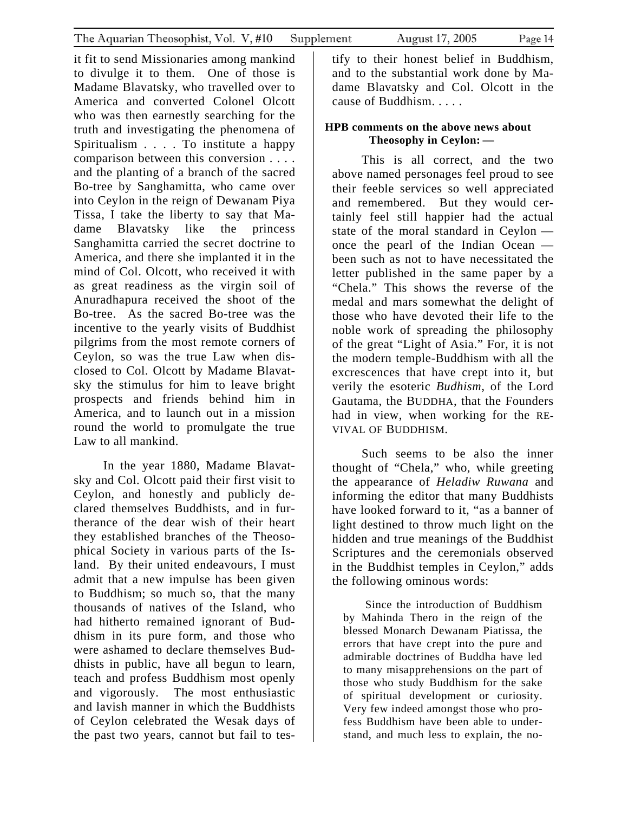it fit to send Missionaries among mankind to divulge it to them. One of those is Madame Blavatsky, who travelled over to America and converted Colonel Olcott who was then earnestly searching for the truth and investigating the phenomena of Spiritualism . . . . To institute a happy comparison between this conversion . . . . and the planting of a branch of the sacred Bo-tree by Sanghamitta, who came over into Ceylon in the reign of Dewanam Piya Tissa, I take the liberty to say that Madame Blavatsky like the princess Sanghamitta carried the secret doctrine to America, and there she implanted it in the mind of Col. Olcott, who received it with as great readiness as the virgin soil of Anuradhapura received the shoot of the Bo-tree. As the sacred Bo-tree was the incentive to the yearly visits of Buddhist pilgrims from the most remote corners of Ceylon, so was the true Law when disclosed to Col. Olcott by Madame Blavatsky the stimulus for him to leave bright prospects and friends behind him in America, and to launch out in a mission round the world to promulgate the true Law to all mankind.

In the year 1880, Madame Blavatsky and Col. Olcott paid their first visit to Ceylon, and honestly and publicly declared themselves Buddhists, and in furtherance of the dear wish of their heart they established branches of the Theosophical Society in various parts of the Island. By their united endeavours, I must admit that a new impulse has been given to Buddhism; so much so, that the many thousands of natives of the Island, who had hitherto remained ignorant of Buddhism in its pure form, and those who were ashamed to declare themselves Buddhists in public, have all begun to learn, teach and profess Buddhism most openly and vigorously. The most enthusiastic and lavish manner in which the Buddhists of Ceylon celebrated the Wesak days of the past two years, cannot but fail to testify to their honest belief in Buddhism, and to the substantial work done by Madame Blavatsky and Col. Olcott in the cause of Buddhism. . . . .

### **HPB comments on the above news about Theosophy in Ceylon: —**

This is all correct, and the two above named personages feel proud to see their feeble services so well appreciated and remembered. But they would certainly feel still happier had the actual state of the moral standard in Ceylon once the pearl of the Indian Ocean been such as not to have necessitated the letter published in the same paper by a "Chela." This shows the reverse of the medal and mars somewhat the delight of those who have devoted their life to the noble work of spreading the philosophy of the great "Light of Asia." For, it is not the modern temple-Buddhism with all the excrescences that have crept into it, but verily the esoteric *Budhism,* of the Lord Gautama, the BUDDHA, that the Founders had in view, when working for the RE-VIVAL OF BUDDHISM.

Such seems to be also the inner thought of "Chela," who, while greeting the appearance of *Heladiw Ruwana* and informing the editor that many Buddhists have looked forward to it, "as a banner of light destined to throw much light on the hidden and true meanings of the Buddhist Scriptures and the ceremonials observed in the Buddhist temples in Ceylon," adds the following ominous words:

Since the introduction of Buddhism by Mahinda Thero in the reign of the blessed Monarch Dewanam Piatissa, the errors that have crept into the pure and admirable doctrines of Buddha have led to many misapprehensions on the part of those who study Buddhism for the sake of spiritual development or curiosity. Very few indeed amongst those who profess Buddhism have been able to understand, and much less to explain, the no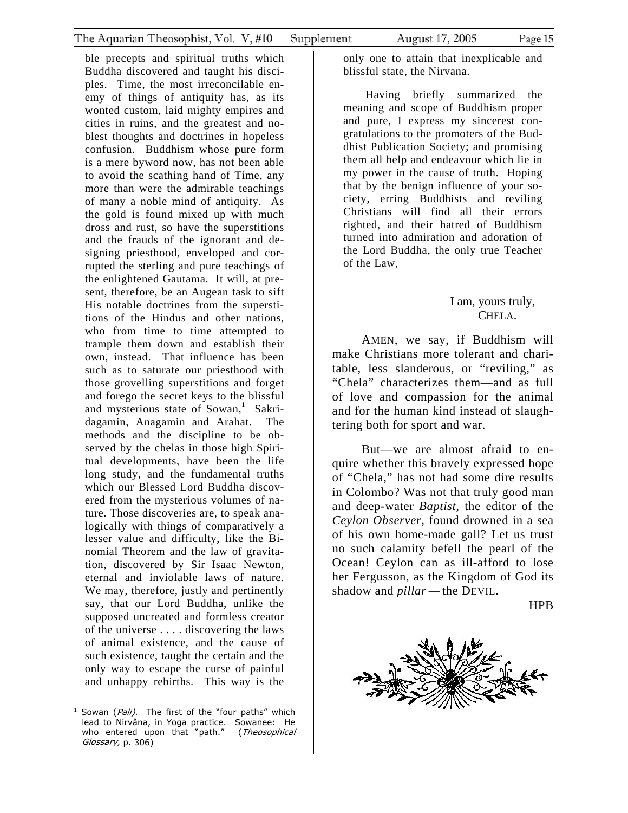ble precepts and spiritual truths which Buddha discovered and taught his disciples. Time, the most irreconcilable enemy of things of antiquity has, as its wonted custom, laid mighty empires and cities in ruins, and the greatest and noblest thoughts and doctrines in hopeless confusion. Buddhism whose pure form is a mere byword now, has not been able to avoid the scathing hand of Time, any more than were the admirable teachings of many a noble mind of antiquity. As the gold is found mixed up with much dross and rust, so have the superstitions and the frauds of the ignorant and designing priesthood, enveloped and corrupted the sterling and pure teachings of the enlightened Gautama. It will, at present, therefore, be an Augean task to sift His notable doctrines from the superstitions of the Hindus and other nations, who from time to time attempted to trample them down and establish their own, instead. That influence has been such as to saturate our priesthood with those grovelling superstitions and forget and forego the secret keys to the blissful and mysterious state of Sowan,<sup>[1](#page-14-0)</sup> Sakridagamin, Anagamin and Arahat. The methods and the discipline to be observed by the chelas in those high Spiritual developments, have been the life long study, and the fundamental truths which our Blessed Lord Buddha discovered from the mysterious volumes of nature. Those discoveries are, to speak analogically with things of comparatively a lesser value and difficulty, like the Binomial Theorem and the law of gravitation, discovered by Sir Isaac Newton, eternal and inviolable laws of nature. We may, therefore, justly and pertinently say, that our Lord Buddha, unlike the supposed uncreated and formless creator of the universe . . . . discovering the laws of animal existence, and the cause of such existence, taught the certain and the only way to escape the curse of painful

and unhappy rebirths. This way is the

only one to attain that inexplicable and blissful state, the Nirvana.

Having briefly summarized the meaning and scope of Buddhism proper and pure, I express my sincerest congratulations to the promoters of the Buddhist Publication Society; and promising them all help and endeavour which lie in my power in the cause of truth. Hoping that by the benign influence of your society, erring Buddhists and reviling Christians will find all their errors righted, and their hatred of Buddhism turned into admiration and adoration of the Lord Buddha, the only true Teacher of the Law,

#### I am, yours truly, CHELA.

AMEN, we say, if Buddhism will make Christians more tolerant and charitable, less slanderous, or "reviling," as "Chela" characterizes them—and as full of love and compassion for the animal and for the human kind instead of slaughtering both for sport and war.

But—we are almost afraid to enquire whether this bravely expressed hope of "Chela," has not had some dire results in Colombo? Was not that truly good man and deep-water *Baptist,* the editor of the *Ceylon Observer,* found drowned in a sea of his own home-made gall? Let us trust no such calamity befell the pearl of the Ocean! Ceylon can as ill-afford to lose her Fergusson, as the Kingdom of God its shadow and *pillar —* the DEVIL.

HPB



<span id="page-14-0"></span><sup>1</sup> Sowan (*Pali)*. The first of the "four paths" which lead to Nirvâna, in Yoga practice. Sowanee: He who entered upon that "path." (Theosophical Glossary, p. 306)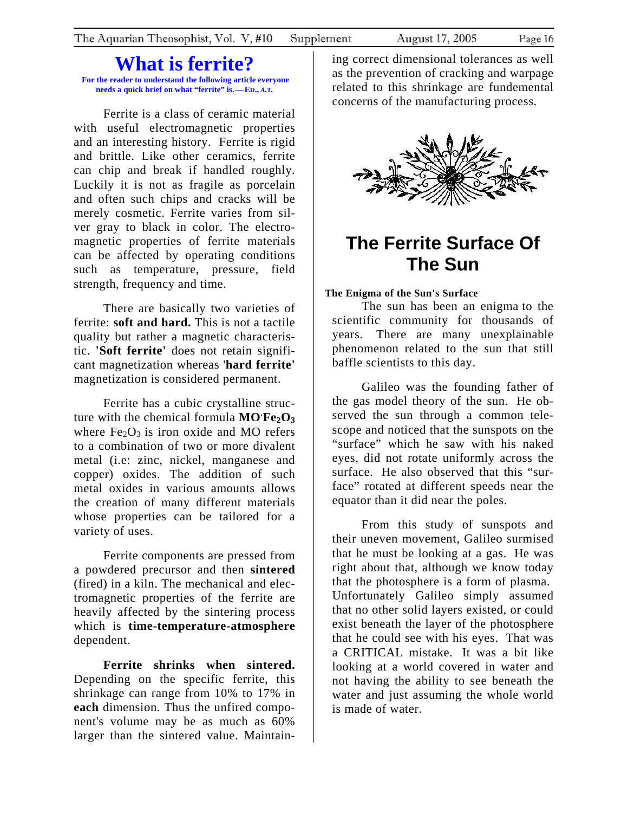### **What is ferrite?**

<span id="page-15-0"></span> **For the reader to understand the following article everyone needs a quick brief on what "ferrite" is.—ED.,** *A.T.*

Ferrite is a class of ceramic material with useful electromagnetic properties and an interesting history. Ferrite is rigid and brittle. Like other ceramics, ferrite can chip and break if handled roughly. Luckily it is not as fragile as porcelain and often such chips and cracks will be merely cosmetic. Ferrite varies from silver gray to black in color. The electromagnetic properties of ferrite materials can be affected by operating conditions such as temperature, pressure, field strength, frequency and time.

There are basically two varieties of ferrite: **soft and hard.** This is not a tactile quality but rather a magnetic characteristic. **'Soft ferrite'** does not retain significant magnetization whereas '**hard ferrite'** magnetization is considered permanent.

Ferrite has a cubic crystalline structure with the chemical formula  $MO$   $Fe<sub>2</sub>O<sub>3</sub>$ where  $Fe<sub>2</sub>O<sub>3</sub>$  is iron oxide and MO refers to a combination of two or more divalent metal (i.e: zinc, nickel, manganese and copper) oxides. The addition of such metal oxides in various amounts allows the creation of many different materials whose properties can be tailored for a variety of uses.

Ferrite components are pressed from a powdered precursor and then **sintered** (fired) in a kiln. The mechanical and electromagnetic properties of the ferrite are heavily affected by the sintering process which is **time-temperature-atmosphere** dependent.

**Ferrite shrinks when sintered.** Depending on the specific ferrite, this shrinkage can range from 10% to 17% in **each** dimension. Thus the unfired component's volume may be as much as 60% larger than the sintered value. Maintaining correct dimensional tolerances as well as the prevention of cracking and warpage related to this shrinkage are fundemental concerns of the manufacturing process.



### **The Ferrite Surface Of The Sun**

### **The Enigma of the Sun's Surface**

The sun has been an enigma to the scientific community for thousands of years. There are many unexplainable phenomenon related to the sun that still baffle scientists to this day.

Galileo was the founding father of the gas model theory of the sun. He observed the sun through a common telescope and noticed that the sunspots on the "surface" which he saw with his naked eyes, did not rotate uniformly across the surface. He also observed that this "surface" rotated at different speeds near the equator than it did near the poles.

From this study of sunspots and their uneven movement, Galileo surmised that he must be looking at a gas. He was right about that, although we know today that the photosphere is a form of plasma. Unfortunately Galileo simply assumed that no other solid layers existed, or could exist beneath the layer of the photosphere that he could see with his eyes. That was a CRITICAL mistake. It was a bit like looking at a world covered in water and not having the ability to see beneath the water and just assuming the whole world is made of water.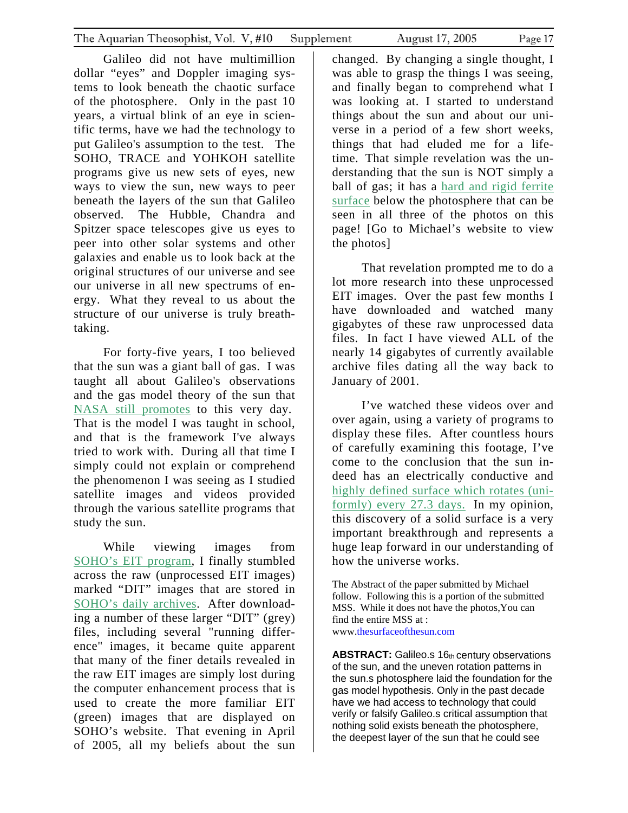Galileo did not have multimillion dollar "eyes" and Doppler imaging systems to look beneath the chaotic surface of the photosphere. Only in the past 10 years, a virtual blink of an eye in scientific terms, have we had the technology to put Galileo's assumption to the test. The SOHO, TRACE and YOHKOH satellite programs give us new sets of eyes, new ways to view the sun, new ways to peer beneath the layers of the sun that Galileo observed. The Hubble, Chandra and Spitzer space telescopes give us eyes to peer into other solar systems and other galaxies and enable us to look back at the original structures of our universe and see our universe in all new spectrums of energy. What they reveal to us about the structure of our universe is truly breathtaking.

For forty-five years, I too believed that the sun was a giant ball of gas. I was taught all about Galileo's observations and the gas model theory of the sun that [NASA still promotes](http://sohowww.nascom.nasa.gov/explore/sun101.html) to this very day. That is the model I was taught in school, and that is the framework I've always tried to work with. During all that time I simply could not explain or comprehend the phenomenon I was seeing as I studied satellite images and videos provided through the various satellite programs that study the sun.

While viewing images from [SOHO's EIT program,](http://sohowww.nascom.nasa.gov/) I finally stumbled across the raw (unprocessed EIT images) marked "DIT" images that are stored in [SOHO's daily archives.](http://lasco-www.nrl.navy.mil/daily_mpg/?C=N;O=A) After downloading a number of these larger "DIT" (grey) files, including several "running difference" images, it became quite apparent that many of the finer details revealed in the raw EIT images are simply lost during the computer enhancement process that is used to create the more familiar EIT (green) images that are displayed on SOHO's website. That evening in April of 2005, all my beliefs about the sun

changed. By changing a single thought, I was able to grasp the things I was seeing, and finally began to comprehend what I was looking at. I started to understand things about the sun and about our universe in a period of a few short weeks, things that had eluded me for a lifetime. That simple revelation was the understanding that the sun is NOT simply a ball of gas; it has a [hard and rigid ferrite](http://www.thesurfaceofthesun.com/images/T171_000828.avi)  [surface](http://www.thesurfaceofthesun.com/images/T171_000828.avi) below the photosphere that can be seen in all three of the photos on this page! [Go to Michael's website to view the photos]

That revelation prompted me to do a lot more research into these unprocessed EIT images. Over the past few months I have downloaded and watched many gigabytes of these raw unprocessed data files. In fact I have viewed ALL of the nearly 14 gigabytes of currently available archive files dating all the way back to January of 2001.

I've watched these videos over and over again, using a variety of programs to display these files. After countless hours of carefully examining this footage, I've come to the conclusion that the sun indeed has an electrically conductive and [highly defined surface which rotates \(uni](http://www.thesurfaceofthesun.com/images/The Surface Of The Sun_0001.wmv)[formly\) every 27.3 days.](http://www.thesurfaceofthesun.com/images/The Surface Of The Sun_0001.wmv) In my opinion, this discovery of a solid surface is a very important breakthrough and represents a huge leap forward in our understanding of how the universe works.

The Abstract of the paper submitted by Michael follow. Following this is a portion of the submitted MSS. While it does not have the photos,You can find the entire MSS at : www[.thesurfaceofthesun.com](mailto:michael@thesurfaceofthesun.com) 

ABSTRACT: Galileo.s 16th century observations of the sun, and the uneven rotation patterns in the sun.s photosphere laid the foundation for the gas model hypothesis. Only in the past decade have we had access to technology that could verify or falsify Galileo.s critical assumption that nothing solid exists beneath the photosphere, the deepest layer of the sun that he could see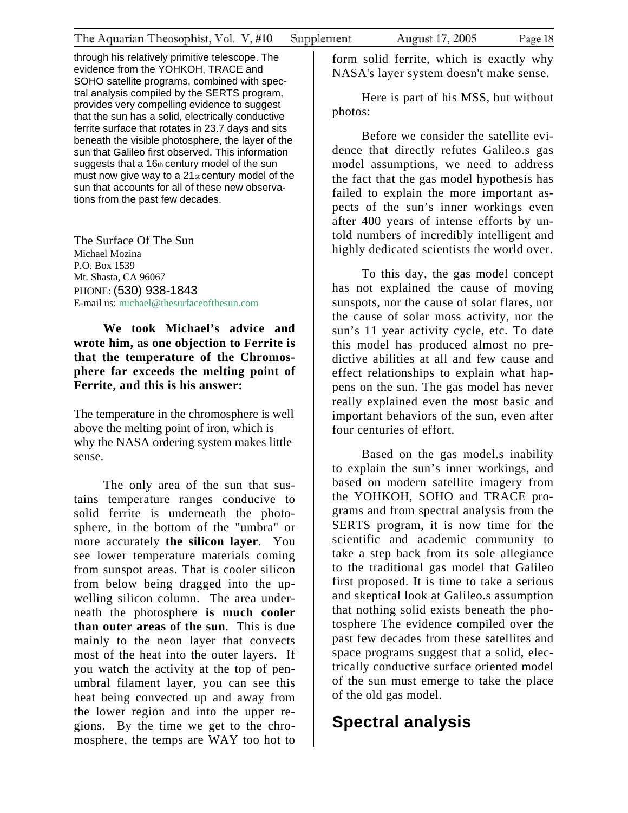through his relatively primitive telescope. The evidence from the YOHKOH, TRACE and SOHO satellite programs, combined with spectral analysis compiled by the SERTS program, provides very compelling evidence to suggest that the sun has a solid, electrically conductive ferrite surface that rotates in 23.7 days and sits beneath the visible photosphere, the layer of the sun that Galileo first observed. This information suggests that a 16th century model of the sun must now give way to a  $21<sub>st</sub>$  century model of the sun that accounts for all of these new observations from the past few decades.

The Surface Of The Sun Michael Mozina P.O. Box 1539 Mt. Shasta, CA 96067 PHONE: (530) 938-1843 E-mail us: [michael@thesurfaceofthesun.com](mailto:michael@thesurfaceofthesun.com)

### **We took Michael's advice and wrote him, as one objection to Ferrite is that the temperature of the Chromosphere far exceeds the melting point of Ferrite, and this is his answer:**

The temperature in the chromosphere is well above the melting point of iron, which is why the NASA ordering system makes little sense.

The only area of the sun that sustains temperature ranges conducive to solid ferrite is underneath the photosphere, in the bottom of the "umbra" or more accurately **the silicon layer**. You see lower temperature materials coming from sunspot areas. That is cooler silicon from below being dragged into the upwelling silicon column. The area underneath the photosphere **is much cooler than outer areas of the sun**. This is due mainly to the neon layer that convects most of the heat into the outer layers. If you watch the activity at the top of penumbral filament layer, you can see this heat being convected up and away from the lower region and into the upper regions. By the time we get to the chromosphere, the temps are WAY too hot to

form solid ferrite, which is exactly why NASA's layer system doesn't make sense.

Here is part of his MSS, but without photos:

Before we consider the satellite evidence that directly refutes Galileo.s gas model assumptions, we need to address the fact that the gas model hypothesis has failed to explain the more important aspects of the sun's inner workings even after 400 years of intense efforts by untold numbers of incredibly intelligent and highly dedicated scientists the world over.

To this day, the gas model concept has not explained the cause of moving sunspots, nor the cause of solar flares, nor the cause of solar moss activity, nor the sun's 11 year activity cycle, etc. To date this model has produced almost no predictive abilities at all and few cause and effect relationships to explain what happens on the sun. The gas model has never really explained even the most basic and important behaviors of the sun, even after four centuries of effort.

Based on the gas model.s inability to explain the sun's inner workings, and based on modern satellite imagery from the YOHKOH, SOHO and TRACE programs and from spectral analysis from the SERTS program, it is now time for the scientific and academic community to take a step back from its sole allegiance to the traditional gas model that Galileo first proposed. It is time to take a serious and skeptical look at Galileo.s assumption that nothing solid exists beneath the photosphere The evidence compiled over the past few decades from these satellites and space programs suggest that a solid, electrically conductive surface oriented model of the sun must emerge to take the place of the old gas model.

### **Spectral analysis**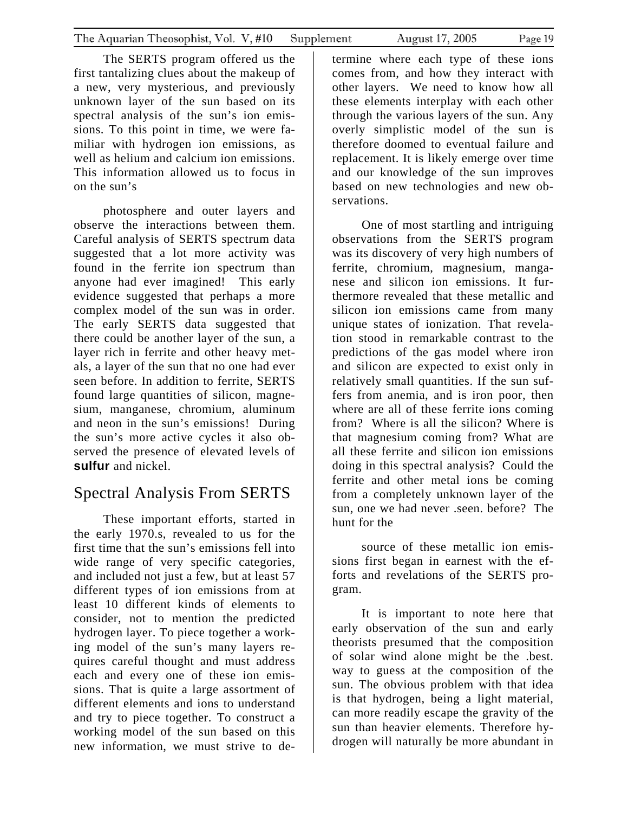The SERTS program offered us the first tantalizing clues about the makeup of a new, very mysterious, and previously unknown layer of the sun based on its spectral analysis of the sun's ion emissions. To this point in time, we were familiar with hydrogen ion emissions, as well as helium and calcium ion emissions. This information allowed us to focus in on the sun's

photosphere and outer layers and observe the interactions between them. Careful analysis of SERTS spectrum data suggested that a lot more activity was found in the ferrite ion spectrum than anyone had ever imagined! This early evidence suggested that perhaps a more complex model of the sun was in order. The early SERTS data suggested that there could be another layer of the sun, a layer rich in ferrite and other heavy metals, a layer of the sun that no one had ever seen before. In addition to ferrite, SERTS found large quantities of silicon, magnesium, manganese, chromium, aluminum and neon in the sun's emissions! During the sun's more active cycles it also observed the presence of elevated levels of **sulfur** and nickel.

### Spectral Analysis From SERTS

These important efforts, started in the early 1970.s, revealed to us for the first time that the sun's emissions fell into wide range of very specific categories, and included not just a few, but at least 57 different types of ion emissions from at least 10 different kinds of elements to consider, not to mention the predicted hydrogen layer. To piece together a working model of the sun's many layers requires careful thought and must address each and every one of these ion emissions. That is quite a large assortment of different elements and ions to understand and try to piece together. To construct a working model of the sun based on this new information, we must strive to de-

termine where each type of these ions comes from, and how they interact with other layers. We need to know how all these elements interplay with each other through the various layers of the sun. Any overly simplistic model of the sun is therefore doomed to eventual failure and replacement. It is likely emerge over time and our knowledge of the sun improves based on new technologies and new observations.

One of most startling and intriguing observations from the SERTS program was its discovery of very high numbers of ferrite, chromium, magnesium, manganese and silicon ion emissions. It furthermore revealed that these metallic and silicon ion emissions came from many unique states of ionization. That revelation stood in remarkable contrast to the predictions of the gas model where iron and silicon are expected to exist only in relatively small quantities. If the sun suffers from anemia, and is iron poor, then where are all of these ferrite ions coming from? Where is all the silicon? Where is that magnesium coming from? What are all these ferrite and silicon ion emissions doing in this spectral analysis? Could the ferrite and other metal ions be coming from a completely unknown layer of the sun, one we had never .seen. before? The hunt for the

source of these metallic ion emissions first began in earnest with the efforts and revelations of the SERTS program.

It is important to note here that early observation of the sun and early theorists presumed that the composition of solar wind alone might be the .best. way to guess at the composition of the sun. The obvious problem with that idea is that hydrogen, being a light material, can more readily escape the gravity of the sun than heavier elements. Therefore hydrogen will naturally be more abundant in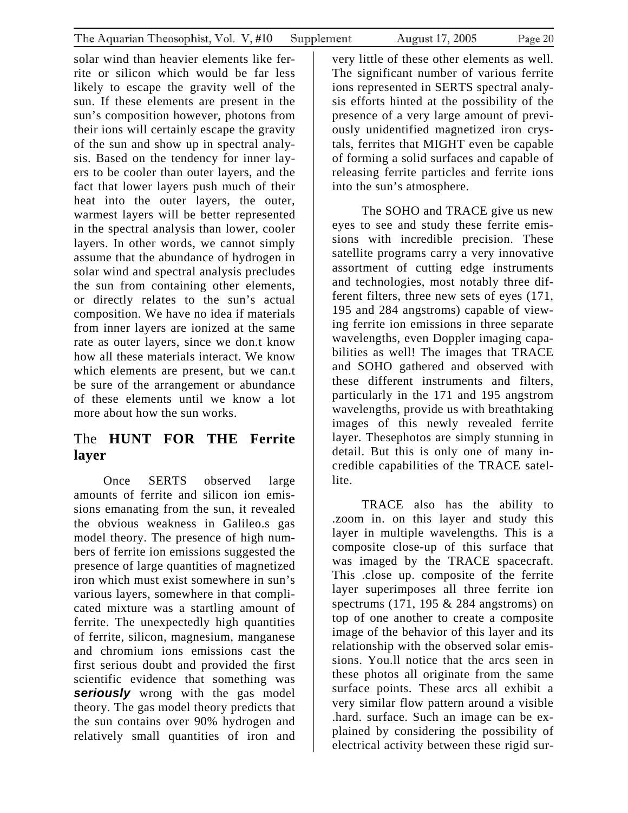solar wind than heavier elements like ferrite or silicon which would be far less likely to escape the gravity well of the sun. If these elements are present in the sun's composition however, photons from their ions will certainly escape the gravity of the sun and show up in spectral analysis. Based on the tendency for inner layers to be cooler than outer layers, and the fact that lower layers push much of their heat into the outer layers, the outer, warmest layers will be better represented in the spectral analysis than lower, cooler layers. In other words, we cannot simply assume that the abundance of hydrogen in solar wind and spectral analysis precludes the sun from containing other elements, or directly relates to the sun's actual composition. We have no idea if materials from inner layers are ionized at the same rate as outer layers, since we don.t know how all these materials interact. We know which elements are present, but we can.t be sure of the arrangement or abundance of these elements until we know a lot more about how the sun works.

### The **HUNT FOR THE Ferrite layer**

Once SERTS observed large amounts of ferrite and silicon ion emissions emanating from the sun, it revealed the obvious weakness in Galileo.s gas model theory. The presence of high numbers of ferrite ion emissions suggested the presence of large quantities of magnetized iron which must exist somewhere in sun's various layers, somewhere in that complicated mixture was a startling amount of ferrite. The unexpectedly high quantities of ferrite, silicon, magnesium, manganese and chromium ions emissions cast the first serious doubt and provided the first scientific evidence that something was **seriously** wrong with the gas model theory. The gas model theory predicts that the sun contains over 90% hydrogen and relatively small quantities of iron and very little of these other elements as well. The significant number of various ferrite ions represented in SERTS spectral analysis efforts hinted at the possibility of the presence of a very large amount of previously unidentified magnetized iron crystals, ferrites that MIGHT even be capable of forming a solid surfaces and capable of releasing ferrite particles and ferrite ions into the sun's atmosphere.

The SOHO and TRACE give us new eyes to see and study these ferrite emissions with incredible precision. These satellite programs carry a very innovative assortment of cutting edge instruments and technologies, most notably three different filters, three new sets of eyes (171, 195 and 284 angstroms) capable of viewing ferrite ion emissions in three separate wavelengths, even Doppler imaging capabilities as well! The images that TRACE and SOHO gathered and observed with these different instruments and filters, particularly in the 171 and 195 angstrom wavelengths, provide us with breathtaking images of this newly revealed ferrite layer. Thesephotos are simply stunning in detail. But this is only one of many incredible capabilities of the TRACE satellite.

TRACE also has the ability to .zoom in. on this layer and study this layer in multiple wavelengths. This is a composite close-up of this surface that was imaged by the TRACE spacecraft. This .close up. composite of the ferrite layer superimposes all three ferrite ion spectrums  $(171, 195 \& 284$  angstroms) on top of one another to create a composite image of the behavior of this layer and its relationship with the observed solar emissions. You.ll notice that the arcs seen in these photos all originate from the same surface points. These arcs all exhibit a very similar flow pattern around a visible .hard. surface. Such an image can be explained by considering the possibility of electrical activity between these rigid sur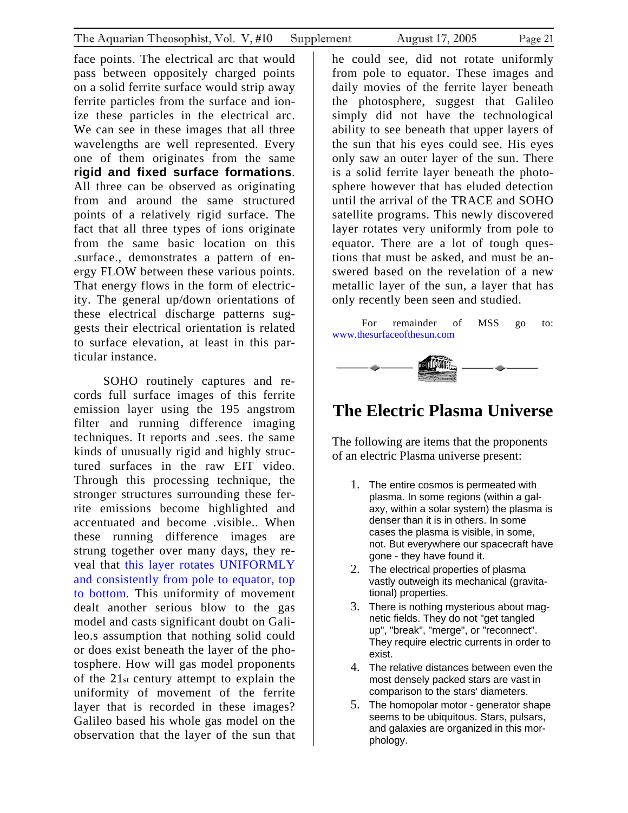<span id="page-20-0"></span>face points. The electrical arc that would pass between oppositely charged points on a solid ferrite surface would strip away ferrite particles from the surface and ionize these particles in the electrical arc. We can see in these images that all three wavelengths are well represented. Every one of them originates from the same **rigid and fixed surface formations**. All three can be observed as originating from and around the same structured points of a relatively rigid surface. The fact that all three types of ions originate from the same basic location on this .surface., demonstrates a pattern of energy FLOW between these various points. That energy flows in the form of electricity. The general up/down orientations of these electrical discharge patterns suggests their electrical orientation is related to surface elevation, at least in this particular instance.

SOHO routinely captures and records full surface images of this ferrite emission layer using the 195 angstrom filter and running difference imaging techniques. It reports and .sees. the same kinds of unusually rigid and highly structured surfaces in the raw EIT video. Through this processing technique, the stronger structures surrounding these ferrite emissions become highlighted and accentuated and become .visible.. When these running difference images are strung together over many days, they reveal that this layer rotates UNIFORMLY and consistently from pole to equator, top to bottom. This uniformity of movement dealt another serious blow to the gas model and casts significant doubt on Galileo.s assumption that nothing solid could or does exist beneath the layer of the photosphere. How will gas model proponents of the 21st century attempt to explain the uniformity of movement of the ferrite layer that is recorded in these images? Galileo based his whole gas model on the observation that the layer of the sun that

he could see, did not rotate uniformly from pole to equator. These images and daily movies of the ferrite layer beneath the photosphere, suggest that Galileo simply did not have the technological ability to see beneath that upper layers of the sun that his eyes could see. His eyes only saw an outer layer of the sun. There is a solid ferrite layer beneath the photosphere however that has eluded detection until the arrival of the TRACE and SOHO satellite programs. This newly discovered layer rotates very uniformly from pole to equator. There are a lot of tough questions that must be asked, and must be answered based on the revelation of a new metallic layer of the sun, a layer that has only recently been seen and studied.

For remainder of MSS go to: [www.thesurfaceofthesun.com](http://www.thesurfaceofthesun.com/) 



### **The Electric Plasma Universe**

The following are items that the proponents of an electric Plasma universe present:

- 1. The entire cosmos is permeated with plasma. In some regions (within a galaxy, within a solar system) the plasma is denser than it is in others. In some cases the plasma is visible, in some, not. But everywhere our spacecraft have gone - they have found it.
- 2. The electrical properties of plasma vastly outweigh its mechanical (gravitational) properties.
- 3. There is nothing mysterious about magnetic fields. They do not "get tangled up", "break", "merge", or "reconnect". They require electric currents in order to exist.
- 4. The relative distances between even the most densely packed stars are vast in comparison to the stars' diameters.
- 5. The homopolar motor generator shape seems to be ubiquitous. Stars, pulsars, and galaxies are organized in this morphology.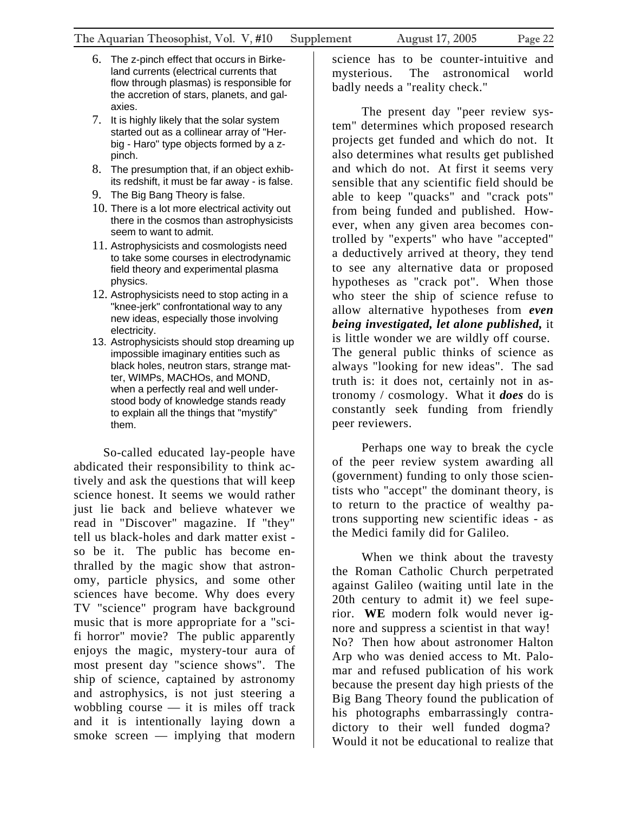- 6. The z-pinch effect that occurs in Birkeland currents (electrical currents that flow through plasmas) is responsible for the accretion of stars, planets, and galaxies.
- 7. It is highly likely that the solar system started out as a collinear array of "Herbig - Haro" type objects formed by a zpinch.
- 8. The presumption that, if an object exhibits redshift, it must be far away - is false.
- 9. The Big Bang Theory is false.
- 10. There is a lot more electrical activity out there in the cosmos than astrophysicists seem to want to admit.
- 11. Astrophysicists and cosmologists need to take some courses in electrodynamic field theory and experimental plasma physics.
- 12. Astrophysicists need to stop acting in a "knee-jerk" confrontational way to any new ideas, especially those involving electricity.
- 13. Astrophysicists should stop dreaming up impossible imaginary entities such as black holes, neutron stars, strange matter, WIMPs, MACHOs, and MOND, when a perfectly real and well understood body of knowledge stands ready to explain all the things that "mystify" them.

So-called educated lay-people have abdicated their responsibility to think actively and ask the questions that will keep science honest. It seems we would rather just lie back and believe whatever we read in "Discover" magazine. If "they" tell us black-holes and dark matter exist so be it. The public has become enthralled by the magic show that astronomy, particle physics, and some other sciences have become. Why does every TV "science" program have background music that is more appropriate for a "scifi horror" movie? The public apparently enjoys the magic, mystery-tour aura of most present day "science shows". The ship of science, captained by astronomy and astrophysics, is not just steering a wobbling course — it is miles off track and it is intentionally laying down a smoke screen — implying that modern

science has to be counter-intuitive and mysterious. The astronomical world badly needs a "reality check."

The present day "peer review system" determines which proposed research projects get funded and which do not. It also determines what results get published and which do not. At first it seems very sensible that any scientific field should be able to keep "quacks" and "crack pots" from being funded and published. However, when any given area becomes controlled by "experts" who have "accepted" a deductively arrived at theory, they tend to see any alternative data or proposed hypotheses as "crack pot". When those who steer the ship of science refuse to allow alternative hypotheses from *even being investigated, let alone published,* it is little wonder we are wildly off course. The general public thinks of science as always "looking for new ideas". The sad truth is: it does not, certainly not in astronomy / cosmology. What it *does* do is constantly seek funding from friendly peer reviewers.

Perhaps one way to break the cycle of the peer review system awarding all (government) funding to only those scientists who "accept" the dominant theory, is to return to the practice of wealthy patrons supporting new scientific ideas - as the Medici family did for Galileo.

When we think about the travesty the Roman Catholic Church perpetrated against Galileo (waiting until late in the 20th century to admit it) we feel superior. **WE** modern folk would never ignore and suppress a scientist in that way! No? Then how about astronomer Halton Arp who was denied access to Mt. Palomar and refused publication of his work because the present day high priests of the Big Bang Theory found the publication of his photographs embarrassingly contradictory to their well funded dogma? Would it not be educational to realize that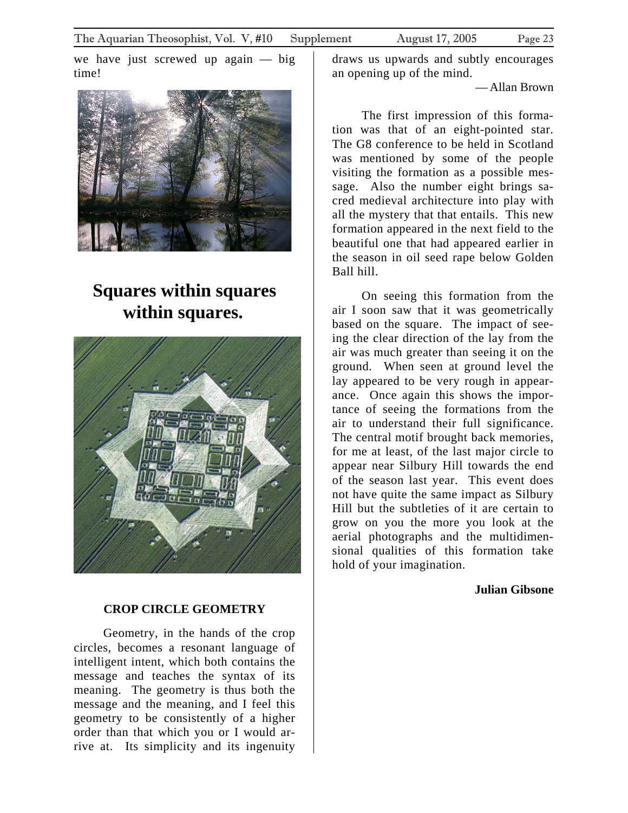<span id="page-22-0"></span>we have just screwed up again — big time!



### **Squares within squares within squares.**



### **CROP CIRCLE GEOMETRY**

Geometry, in the hands of the crop circles, becomes a resonant language of intelligent intent, which both contains the message and teaches the syntax of its meaning. The geometry is thus both the message and the meaning, and I feel this geometry to be consistently of a higher order than that which you or I would arrive at. Its simplicity and its ingenuity

draws us upwards and subtly encourages an opening up of the mind.

—Allan Brown

The first impression of this formation was that of an eight-pointed star. The G8 conference to be held in Scotland was mentioned by some of the people visiting the formation as a possible message. Also the number eight brings sacred medieval architecture into play with all the mystery that that entails. This new formation appeared in the next field to the beautiful one that had appeared earlier in the season in oil seed rape below Golden Ball hill.

On seeing this formation from the air I soon saw that it was geometrically based on the square. The impact of seeing the clear direction of the lay from the air was much greater than seeing it on the ground. When seen at ground level the lay appeared to be very rough in appearance. Once again this shows the importance of seeing the formations from the air to understand their full significance. The central motif brought back memories, for me at least, of the last major circle to appear near Silbury Hill towards the end of the season last year. This event does not have quite the same impact as Silbury Hill but the subtleties of it are certain to grow on you the more you look at the aerial photographs and the multidimensional qualities of this formation take hold of your imagination.

### **Julian Gibsone**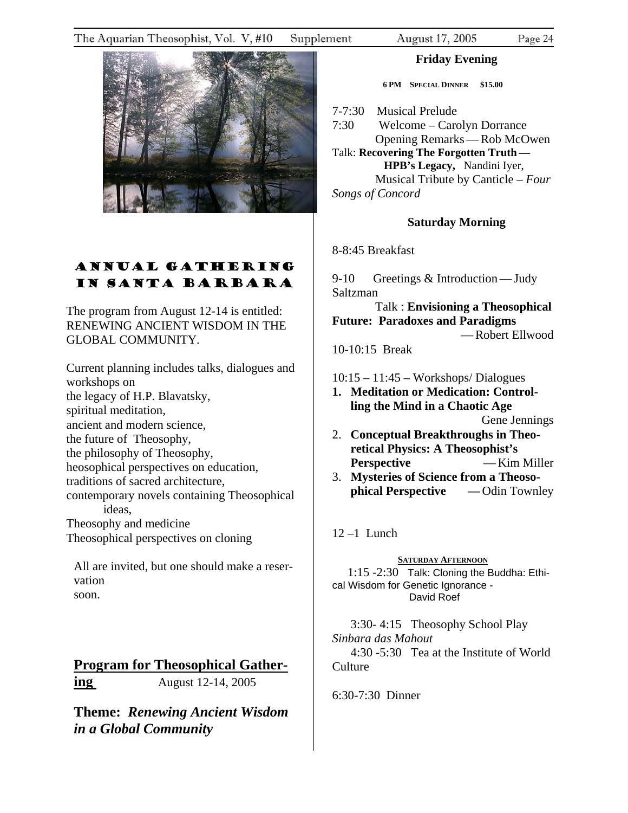#### <span id="page-23-0"></span>The Aquarian Theosophist, Vol. V, #10 Supplement August 17, 2005 Page 24



### ANNUAL GATHERING IN SANTA BARBARA

The program from August 12-14 is entitled: RENEWING ANCIENT WISDOM IN THE GLOBAL COMMUNITY.

Current planning includes talks, dialogues and workshops on the legacy of H.P. Blavatsky, spiritual meditation, ancient and modern science, the future of Theosophy, the philosophy of Theosophy, heosophical perspectives on education, traditions of sacred architecture, contemporary novels containing Theosophical ideas, Theosophy and medicine Theosophical perspectives on cloning

All are invited, but one should make a reservation soon.

### **Program for Theosophical Gathering** August 12-14, 2005

**Theme:** *Renewing Ancient Wisdom in a Global Community* 

#### **Friday Evening**

**6 PM SPECIAL DINNER \$15.00** 

7-7:30 Musical Prelude

7:30 Welcome – Carolyn Dorrance Opening Remarks—Rob McOwen Talk: **Recovering The Forgotten Truth— HPB's Legacy,** Nandini Iyer, Musical Tribute by Canticle – *Four Songs of Concord*

### **Saturday Morning**

8-8:45 Breakfast

9-10 Greetings & Introduction — Judy Saltzman

 Talk : **Envisioning a Theosophical Future: Paradoxes and Paradigms**  —Robert Ellwood

10-10:15 Break

10:15 – 11:45 – Workshops/ Dialogues

**1. Meditation or Medication: Controlling the Mind in a Chaotic Age** 

Gene Jennings

- 2. **Conceptual Breakthroughs in Theoretical Physics: A Theosophist's Perspective — Kim Miller**
- 3. **Mysteries of Science from a Theosophical Perspective — Odin Townley**

 $12 - 1$  Lunch

**SATURDAY AFTERNOON**

 1:15 -2:30 Talk: Cloning the Buddha: Ethical Wisdom for Genetic Ignorance - David Roef

 3:30- 4:15 Theosophy School Play *Sinbara das Mahout*  4:30 -5:30 Tea at the Institute of World **Culture** 

6:30-7:30 Dinner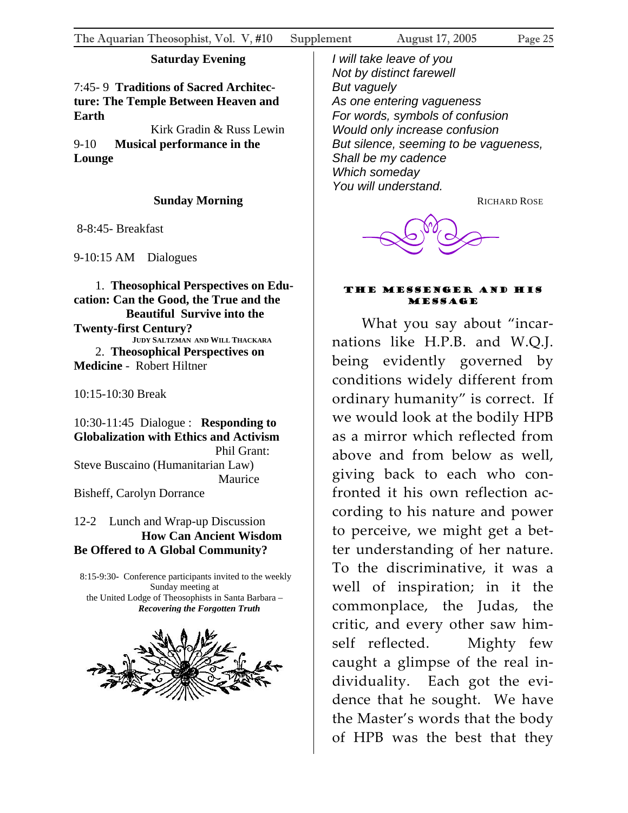### **Saturday Evening**

### <span id="page-24-0"></span>7:45- 9 **Traditions of Sacred Architecture: The Temple Between Heaven and Earth**

 Kirk Gradin & Russ Lewin 9-10 **Musical performance in the Lounge**

### **Sunday Morning**

8-8:45- Breakfast

9-10:15 AM Dialogues

 1. **Theosophical Perspectives on Education: Can the Good, the True and the Beautiful Survive into the Twenty-first Century? JUDY SALTZMAN AND WILL THACKARA** 2. **Theosophical Perspectives on Medicine** - Robert Hiltner

10:15-10:30 Break

10:30-11:45 Dialogue : **Responding to Globalization with Ethics and Activism** Phil Grant: Steve Buscaino (Humanitarian Law) Maurice Bisheff, Carolyn Dorrance

### 12-2 Lunch and Wrap-up Discussion **How Can Ancient Wisdom Be Offered to A Global Community?**

 8:15-9:30**-** Conference participants invited to the weekly Sunday meeting at the United Lodge of Theosophists in Santa Barbara – *Recovering the Forgotten Truth*



*I will take leave of you Not by distinct farewell But vaguely As one entering vagueness For words, symbols of confusion Would only increase confusion But silence, seeming to be vagueness, Shall be my cadence Which someday You will understand.*

RICHARD ROSE



#### The Messenger and his **MESSAGE**

What you say about "incar‐ nations like H.P.B. and W.Q.J. being evidently governed by conditions widely different from ordinary humanity" is correct. If we would look at the bodily HPB as a mirror which reflected from above and from below as well, giving back to each who con‐ fronted it his own reflection ac‐ cording to his nature and power to perceive, we might get a bet‐ ter understanding of her nature. To the discriminative, it was a well of inspiration; in it the commonplace, the Judas, the critic, and every other saw him‐ self reflected. Mighty few caught a glimpse of the real in‐ dividuality. Each got the evidence that he sought. We have the Master's words that the body of HPB was the best that they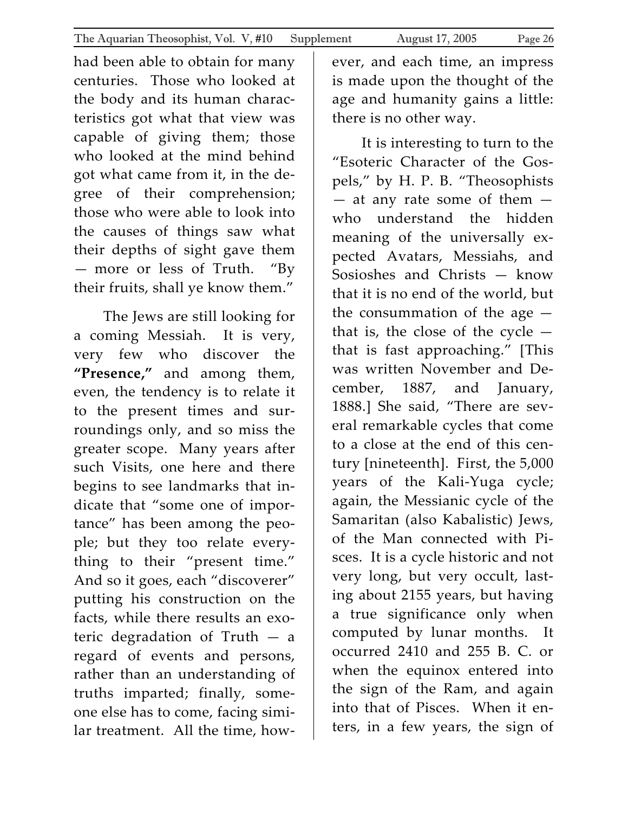had been able to obtain for many centuries. Those who looked at the body and its human charac‐ teristics got what that view was capable of giving them; those who looked at the mind behind got what came from it, in the de‐ gree of their comprehension; those who were able to look into

the causes of things saw what their depths of sight gave them - more or less of Truth. "By their fruits, shall ye know them."

The Jews are still looking for a coming Messiah. It is very, very few who discover the **"Presence,"** and among them, even, the tendency is to relate it to the present times and sur‐ roundings only, and so miss the greater scope. Many years after such Visits, one here and there begins to see landmarks that in‐ dicate that "some one of impor‐ tance" has been among the peo‐ ple; but they too relate every‐ thing to their "present time." And so it goes, each "discoverer" putting his construction on the facts, while there results an exo‐ teric degradation of Truth — a regard of events and persons, rather than an understanding of truths imparted; finally, some‐ one else has to come, facing simi‐ lar treatment. All the time, how‐ ever, and each time, an impress is made upon the thought of the age and humanity gains a little: there is no other way.

It is interesting to turn to the "Esoteric Character of the Gos‐ pels," by H. P. B. "Theosophists  $-$  at any rate some of them  $$ who understand the hidden meaning of the universally expected Avatars, Messiahs, and Sosioshes and Christs — know that it is no end of the world, but the consummation of the age  $$ that is, the close of the cycle  $$ that is fast approaching." [This was written November and De‐ cember, 1887, and January, 1888.] She said, "There are several remarkable cycles that come to a close at the end of this century [nineteenth]. First, the 5,000 years of the Kali‐Yuga cycle; again, the Messianic cycle of the Samaritan (also Kabalistic) Jews, of the Man connected with Pi‐ sces. It is a cycle historic and not very long, but very occult, last‐ ing about 2155 years, but having a true significance only when computed by lunar months. It occurred 2410 and 255 B. C. or when the equinox entered into the sign of the Ram, and again into that of Pisces. When it enters, in a few years, the sign of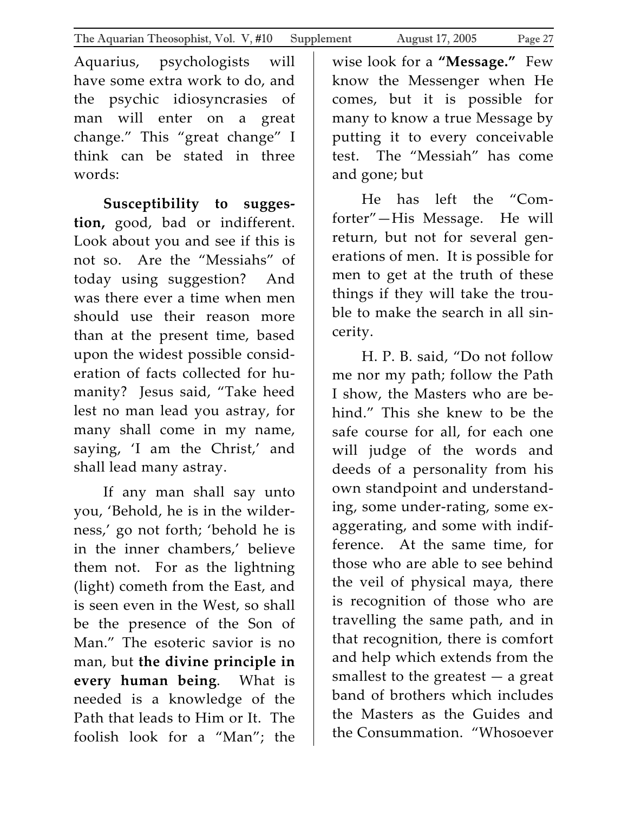Aquarius, psychologists will have some extra work to do, and the psychic idiosyncrasies of man will enter on a great change." This "great change" I think can be stated in three words:

**Susceptibility to sugges‐ tion,** good, bad or indifferent. Look about you and see if this is not so. Are the "Messiahs" of today using suggestion? And was there ever a time when men should use their reason more than at the present time, based upon the widest possible consid‐ eration of facts collected for hu‐ manity? Jesus said, "Take heed lest no man lead you astray, for many shall come in my name, saying, 'I am the Christ,' and shall lead many astray.

If any man shall say unto you, 'Behold, he is in the wilder‐ ness,' go not forth; 'behold he is in the inner chambers,' believe them not. For as the lightning (light) cometh from the East, and is seen even in the West, so shall be the presence of the Son of Man." The esoteric savior is no man, but **the divine principle in every human being**. What is needed is a knowledge of the Path that leads to Him or It. The foolish look for a "Man"; the

wise look for a **"Message."** Few know the Messenger when He comes, but it is possible for many to know a true Message by putting it to every conceivable test. The "Messiah" has come and gone; but

He has left the "Com‐ forter"—His Message. He will return, but not for several generations of men. It is possible for men to get at the truth of these things if they will take the trou‐ ble to make the search in all sin‐ cerity.

H. P. B. said, "Do not follow me nor my path; follow the Path I show, the Masters who are be‐ hind." This she knew to be the safe course for all, for each one will judge of the words and deeds of a personality from his own standpoint and understand‐ ing, some under‐rating, some ex‐ aggerating, and some with indif‐ ference. At the same time, for those who are able to see behind the veil of physical maya, there is recognition of those who are travelling the same path, and in that recognition, there is comfort and help which extends from the smallest to the greatest  $-$  a great band of brothers which includes the Masters as the Guides and the Consummation. "Whosoever